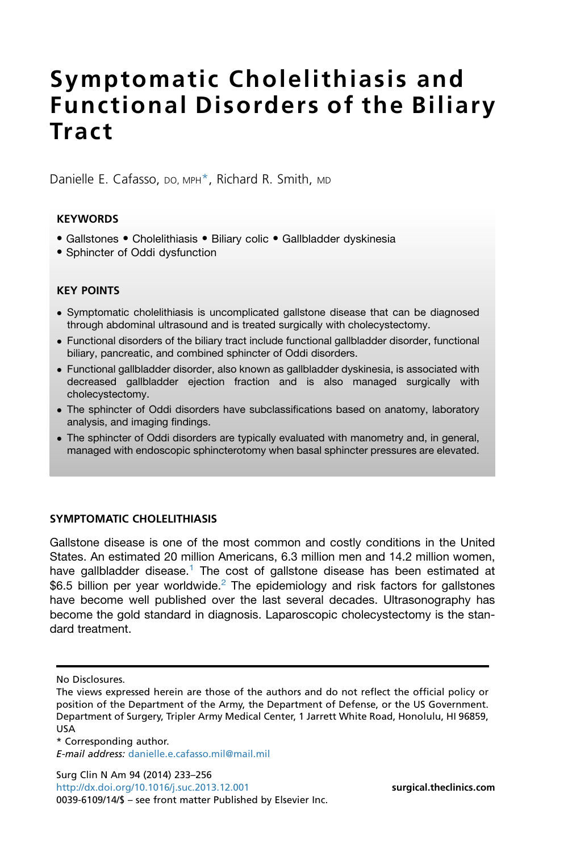# Symptomatic Cholelithiasis and Functional Disorders of the Biliary Tract

Danielle E. Cafasso, Do, MPH<sup>\*</sup>, Richard R. Smith, MD

### **KEYWORDS**

- Gallstones Cholelithiasis Biliary colic Gallbladder dyskinesia
- Sphincter of Oddi dysfunction

#### KEY POINTS

- Symptomatic cholelithiasis is uncomplicated gallstone disease that can be diagnosed through abdominal ultrasound and is treated surgically with cholecystectomy.
- Functional disorders of the biliary tract include functional gallbladder disorder, functional biliary, pancreatic, and combined sphincter of Oddi disorders.
- Functional gallbladder disorder, also known as gallbladder dyskinesia, is associated with decreased gallbladder ejection fraction and is also managed surgically with cholecystectomy.
- The sphincter of Oddi disorders have subclassifications based on anatomy, laboratory analysis, and imaging findings.
- The sphincter of Oddi disorders are typically evaluated with manometry and, in general, managed with endoscopic sphincterotomy when basal sphincter pressures are elevated.

#### SYMPTOMATIC CHOLELITHIASIS

Gallstone disease is one of the most common and costly conditions in the United States. An estimated 20 million Americans, 6.3 million men and 14.2 million women, have gallbladder disease.<sup>[1](#page-16-0)</sup> The cost of gallstone disease has been estimated at \$6.5 billion per year worldwide.<sup>[2](#page-17-0)</sup> The epidemiology and risk factors for gallstones have become well published over the last several decades. Ultrasonography has become the gold standard in diagnosis. Laparoscopic cholecystectomy is the standard treatment.

No Disclosures.

\* Corresponding author.

E-mail address: [danielle.e.cafasso.mil@mail.mil](mailto:danielle.e.cafasso.mil@mail.mil)

Surg Clin N Am 94 (2014) 233–256 <http://dx.doi.org/10.1016/j.suc.2013.12.001> [surgical.theclinics.com](http://surgical.theclinics.com) 0039-6109/14/\$ – see front matter Published by Elsevier Inc.

The views expressed herein are those of the authors and do not reflect the official policy or position of the Department of the Army, the Department of Defense, or the US Government. Department of Surgery, Tripler Army Medical Center, 1 Jarrett White Road, Honolulu, HI 96859, USA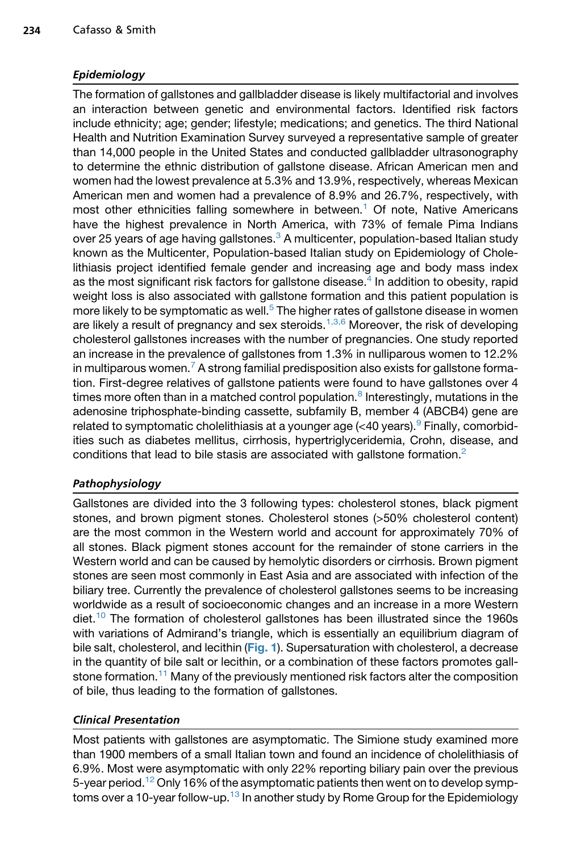# Epidemiology

The formation of gallstones and gallbladder disease is likely multifactorial and involves an interaction between genetic and environmental factors. Identified risk factors include ethnicity; age; gender; lifestyle; medications; and genetics. The third National Health and Nutrition Examination Survey surveyed a representative sample of greater than 14,000 people in the United States and conducted gallbladder ultrasonography to determine the ethnic distribution of gallstone disease. African American men and women had the lowest prevalence at 5.3% and 13.9%, respectively, whereas Mexican American men and women had a prevalence of 8.9% and 26.7%, respectively, with most other ethnicities falling somewhere in between.<sup>[1](#page-16-0)</sup> Of note, Native Americans have the highest prevalence in North America, with 73% of female Pima Indians over 25 years of age having gallstones. $3$  A multicenter, population-based Italian study known as the Multicenter, Population-based Italian study on Epidemiology of Cholelithiasis project identified female gender and increasing age and body mass index as the most significant risk factors for gallstone disease.<sup>[4](#page-17-0)</sup> In addition to obesity, rapid weight loss is also associated with gallstone formation and this patient population is more likely to be symptomatic as well. $5$  The higher rates of gallstone disease in women are likely a result of pregnancy and sex steroids.<sup>[1,3,6](#page-16-0)</sup> Moreover, the risk of developing cholesterol gallstones increases with the number of pregnancies. One study reported an increase in the prevalence of gallstones from 1.3% in nulliparous women to 12.2% in multiparous women.<sup>[7](#page-17-0)</sup> A strong familial predisposition also exists for gallstone formation. First-degree relatives of gallstone patients were found to have gallstones over 4 times more often than in a matched control population.<sup>[8](#page-17-0)</sup> Interestingly, mutations in the adenosine triphosphate-binding cassette, subfamily B, member 4 (ABCB4) gene are related to symptomatic cholelithiasis at a younger age  $\ll 40$  years).<sup>[9](#page-17-0)</sup> Finally, comorbidities such as diabetes mellitus, cirrhosis, hypertriglyceridemia, Crohn, disease, and conditions that lead to bile stasis are associated with gallstone formation.<sup>[2](#page-17-0)</sup>

# Pathophysiology

Gallstones are divided into the 3 following types: cholesterol stones, black pigment stones, and brown pigment stones. Cholesterol stones (>50% cholesterol content) are the most common in the Western world and account for approximately 70% of all stones. Black pigment stones account for the remainder of stone carriers in the Western world and can be caused by hemolytic disorders or cirrhosis. Brown pigment stones are seen most commonly in East Asia and are associated with infection of the biliary tree. Currently the prevalence of cholesterol gallstones seems to be increasing worldwide as a result of socioeconomic changes and an increase in a more Western diet.<sup>[10](#page-17-0)</sup> The formation of cholesterol gallstones has been illustrated since the 1960s with variations of Admirand's triangle, which is essentially an equilibrium diagram of bile salt, cholesterol, and lecithin ([Fig. 1](#page-2-0)). Supersaturation with cholesterol, a decrease in the quantity of bile salt or lecithin, or a combination of these factors promotes gall-stone formation.<sup>[11](#page-17-0)</sup> Many of the previously mentioned risk factors alter the composition of bile, thus leading to the formation of gallstones.

# Clinical Presentation

Most patients with gallstones are asymptomatic. The Simione study examined more than 1900 members of a small Italian town and found an incidence of cholelithiasis of 6.9%. Most were asymptomatic with only 22% reporting biliary pain over the previous 5-year period.<sup>12</sup> Only 16% of the asymptomatic patients then went on to develop symp-toms over a 10-year follow-up.<sup>[13](#page-17-0)</sup> In another study by Rome Group for the Epidemiology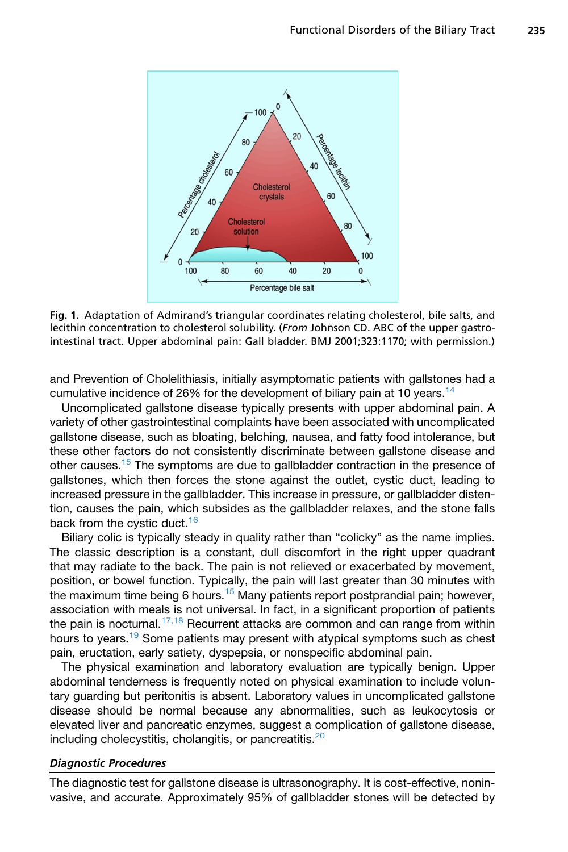<span id="page-2-0"></span>

Fig. 1. Adaptation of Admirand's triangular coordinates relating cholesterol, bile salts, and lecithin concentration to cholesterol solubility. (From Johnson CD. ABC of the upper gastrointestinal tract. Upper abdominal pain: Gall bladder. BMJ 2001;323:1170; with permission.)

and Prevention of Cholelithiasis, initially asymptomatic patients with gallstones had a cumulative incidence of 26% for the development of biliary pain at 10 years.<sup>[14](#page-17-0)</sup>

Uncomplicated gallstone disease typically presents with upper abdominal pain. A variety of other gastrointestinal complaints have been associated with uncomplicated gallstone disease, such as bloating, belching, nausea, and fatty food intolerance, but these other factors do not consistently discriminate between gallstone disease and other causes.<sup>[15](#page-17-0)</sup> The symptoms are due to gallbladder contraction in the presence of gallstones, which then forces the stone against the outlet, cystic duct, leading to increased pressure in the gallbladder. This increase in pressure, or gallbladder distention, causes the pain, which subsides as the gallbladder relaxes, and the stone falls back from the cystic duct.<sup>[16](#page-17-0)</sup>

Biliary colic is typically steady in quality rather than "colicky" as the name implies. The classic description is a constant, dull discomfort in the right upper quadrant that may radiate to the back. The pain is not relieved or exacerbated by movement, position, or bowel function. Typically, the pain will last greater than 30 minutes with the maximum time being 6 hours.<sup>[15](#page-17-0)</sup> Many patients report postprandial pain; however, association with meals is not universal. In fact, in a significant proportion of patients the pain is nocturnal.<sup>[17,18](#page-17-0)</sup> Recurrent attacks are common and can range from within hours to years.<sup>[19](#page-17-0)</sup> Some patients may present with atypical symptoms such as chest pain, eructation, early satiety, dyspepsia, or nonspecific abdominal pain.

The physical examination and laboratory evaluation are typically benign. Upper abdominal tenderness is frequently noted on physical examination to include voluntary guarding but peritonitis is absent. Laboratory values in uncomplicated gallstone disease should be normal because any abnormalities, such as leukocytosis or elevated liver and pancreatic enzymes, suggest a complication of gallstone disease, including cholecystitis, cholangitis, or pancreatitis.<sup>[20](#page-17-0)</sup>

#### Diagnostic Procedures

The diagnostic test for gallstone disease is ultrasonography. It is cost-effective, noninvasive, and accurate. Approximately 95% of gallbladder stones will be detected by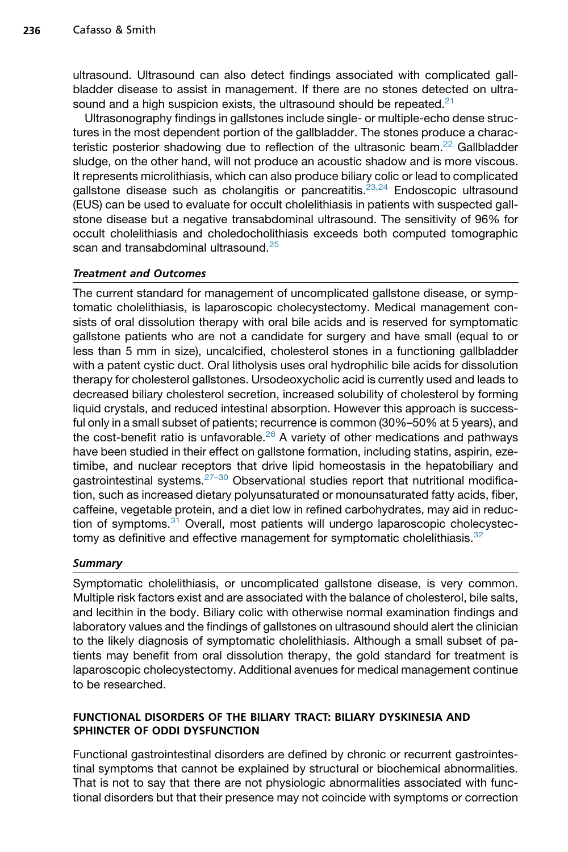ultrasound. Ultrasound can also detect findings associated with complicated gallbladder disease to assist in management. If there are no stones detected on ultrasound and a high suspicion exists, the ultrasound should be repeated. $21$ 

Ultrasonography findings in gallstones include single- or multiple-echo dense structures in the most dependent portion of the gallbladder. The stones produce a charac-teristic posterior shadowing due to reflection of the ultrasonic beam.<sup>[22](#page-17-0)</sup> Gallbladder sludge, on the other hand, will not produce an acoustic shadow and is more viscous. It represents microlithiasis, which can also produce biliary colic or lead to complicated gallstone disease such as cholangitis or pancreatitis.<sup>[23,24](#page-17-0)</sup> Endoscopic ultrasound (EUS) can be used to evaluate for occult cholelithiasis in patients with suspected gallstone disease but a negative transabdominal ultrasound. The sensitivity of 96% for occult cholelithiasis and choledocholithiasis exceeds both computed tomographic scan and transabdominal ultrasound.<sup>[25](#page-18-0)</sup>

#### Treatment and Outcomes

The current standard for management of uncomplicated gallstone disease, or symptomatic cholelithiasis, is laparoscopic cholecystectomy. Medical management consists of oral dissolution therapy with oral bile acids and is reserved for symptomatic gallstone patients who are not a candidate for surgery and have small (equal to or less than 5 mm in size), uncalcified, cholesterol stones in a functioning gallbladder with a patent cystic duct. Oral litholysis uses oral hydrophilic bile acids for dissolution therapy for cholesterol gallstones. Ursodeoxycholic acid is currently used and leads to decreased biliary cholesterol secretion, increased solubility of cholesterol by forming liquid crystals, and reduced intestinal absorption. However this approach is successful only in a small subset of patients; recurrence is common (30%–50% at 5 years), and the cost-benefit ratio is unfavorable.<sup>[26](#page-18-0)</sup> A variety of other medications and pathways have been studied in their effect on gallstone formation, including statins, aspirin, ezetimibe, and nuclear receptors that drive lipid homeostasis in the hepatobiliary and gastrointestinal systems. $27-30$  Observational studies report that nutritional modification, such as increased dietary polyunsaturated or monounsaturated fatty acids, fiber, caffeine, vegetable protein, and a diet low in refined carbohydrates, may aid in reduc-tion of symptoms.<sup>[31](#page-18-0)</sup> Overall, most patients will undergo laparoscopic cholecystectomy as definitive and effective management for symptomatic cholelithiasis. $32$ 

#### **Summary**

Symptomatic cholelithiasis, or uncomplicated gallstone disease, is very common. Multiple risk factors exist and are associated with the balance of cholesterol, bile salts, and lecithin in the body. Biliary colic with otherwise normal examination findings and laboratory values and the findings of gallstones on ultrasound should alert the clinician to the likely diagnosis of symptomatic cholelithiasis. Although a small subset of patients may benefit from oral dissolution therapy, the gold standard for treatment is laparoscopic cholecystectomy. Additional avenues for medical management continue to be researched.

### FUNCTIONAL DISORDERS OF THE BILIARY TRACT: BILIARY DYSKINESIA AND SPHINCTER OF ODDI DYSFUNCTION

Functional gastrointestinal disorders are defined by chronic or recurrent gastrointestinal symptoms that cannot be explained by structural or biochemical abnormalities. That is not to say that there are not physiologic abnormalities associated with functional disorders but that their presence may not coincide with symptoms or correction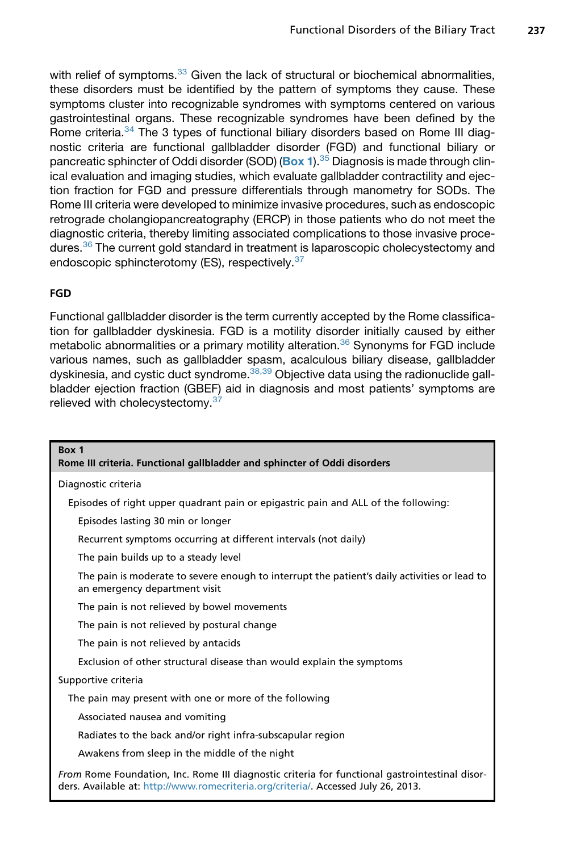<span id="page-4-0"></span>with relief of symptoms. $33$  Given the lack of structural or biochemical abnormalities, these disorders must be identified by the pattern of symptoms they cause. These symptoms cluster into recognizable syndromes with symptoms centered on various gastrointestinal organs. These recognizable syndromes have been defined by the Rome criteria.<sup>[34](#page-18-0)</sup> The 3 types of functional biliary disorders based on Rome III diagnostic criteria are functional gallbladder disorder (FGD) and functional biliary or pancreatic sphincter of Oddi disorder (SOD)  $(Box 1)$ .<sup>[35](#page-18-0)</sup> Diagnosis is made through clinical evaluation and imaging studies, which evaluate gallbladder contractility and ejection fraction for FGD and pressure differentials through manometry for SODs. The Rome III criteria were developed to minimize invasive procedures, such as endoscopic retrograde cholangiopancreatography (ERCP) in those patients who do not meet the diagnostic criteria, thereby limiting associated complications to those invasive proce-dures.<sup>[36](#page-18-0)</sup> The current gold standard in treatment is laparoscopic cholecystectomy and endoscopic sphincterotomy (ES), respectively.<sup>[37](#page-18-0)</sup>

#### FGD

Functional gallbladder disorder is the term currently accepted by the Rome classification for gallbladder dyskinesia. FGD is a motility disorder initially caused by either metabolic abnormalities or a primary motility alteration.<sup>[36](#page-18-0)</sup> Synonyms for FGD include various names, such as gallbladder spasm, acalculous biliary disease, gallbladder dyskinesia, and cystic duct syndrome.<sup>38,39</sup> Objective data using the radionuclide gallbladder ejection fraction (GBEF) aid in diagnosis and most patients' symptoms are relieved with cholecystectomy.<sup>[37](#page-18-0)</sup>

| Box 1<br>Rome III criteria. Functional gallbladder and sphincter of Oddi disorders                                                                                                   |
|--------------------------------------------------------------------------------------------------------------------------------------------------------------------------------------|
| Diagnostic criteria                                                                                                                                                                  |
| Episodes of right upper quadrant pain or epigastric pain and ALL of the following:                                                                                                   |
| Episodes lasting 30 min or longer                                                                                                                                                    |
| Recurrent symptoms occurring at different intervals (not daily)                                                                                                                      |
| The pain builds up to a steady level                                                                                                                                                 |
| The pain is moderate to severe enough to interrupt the patient's daily activities or lead to<br>an emergency department visit                                                        |
| The pain is not relieved by bowel movements                                                                                                                                          |
| The pain is not relieved by postural change                                                                                                                                          |
| The pain is not relieved by antacids                                                                                                                                                 |
| Exclusion of other structural disease than would explain the symptoms                                                                                                                |
| Supportive criteria                                                                                                                                                                  |
| The pain may present with one or more of the following                                                                                                                               |
| Associated nausea and vomiting                                                                                                                                                       |
| Radiates to the back and/or right infra-subscapular region                                                                                                                           |
| Awakens from sleep in the middle of the night                                                                                                                                        |
| From Rome Foundation, Inc. Rome III diagnostic criteria for functional gastrointestinal disor-<br>ders. Available at: http://www.romecriteria.org/criteria/. Accessed July 26, 2013. |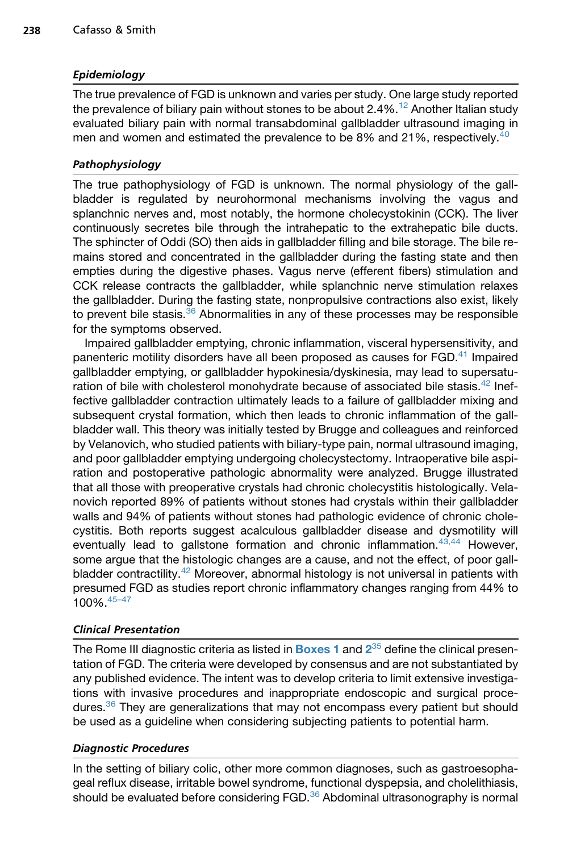# Epidemiology

The true prevalence of FGD is unknown and varies per study. One large study reported the prevalence of biliary pain without stones to be about 2.4%.<sup>[12](#page-17-0)</sup> Another Italian study evaluated biliary pain with normal transabdominal gallbladder ultrasound imaging in men and women and estimated the prevalence to be 8% and 21%, respectively.<sup>[40](#page-18-0)</sup>

# Pathophysiology

The true pathophysiology of FGD is unknown. The normal physiology of the gallbladder is regulated by neurohormonal mechanisms involving the vagus and splanchnic nerves and, most notably, the hormone cholecystokinin (CCK). The liver continuously secretes bile through the intrahepatic to the extrahepatic bile ducts. The sphincter of Oddi (SO) then aids in gallbladder filling and bile storage. The bile remains stored and concentrated in the gallbladder during the fasting state and then empties during the digestive phases. Vagus nerve (efferent fibers) stimulation and CCK release contracts the gallbladder, while splanchnic nerve stimulation relaxes the gallbladder. During the fasting state, nonpropulsive contractions also exist, likely to prevent bile stasis.<sup>[36](#page-18-0)</sup> Abnormalities in any of these processes may be responsible for the symptoms observed.

Impaired gallbladder emptying, chronic inflammation, visceral hypersensitivity, and panenteric motility disorders have all been proposed as causes for FGD.[41](#page-18-0) Impaired gallbladder emptying, or gallbladder hypokinesia/dyskinesia, may lead to supersatu-ration of bile with cholesterol monohydrate because of associated bile stasis.<sup>[42](#page-18-0)</sup> Ineffective gallbladder contraction ultimately leads to a failure of gallbladder mixing and subsequent crystal formation, which then leads to chronic inflammation of the gallbladder wall. This theory was initially tested by Brugge and colleagues and reinforced by Velanovich, who studied patients with biliary-type pain, normal ultrasound imaging, and poor gallbladder emptying undergoing cholecystectomy. Intraoperative bile aspiration and postoperative pathologic abnormality were analyzed. Brugge illustrated that all those with preoperative crystals had chronic cholecystitis histologically. Velanovich reported 89% of patients without stones had crystals within their gallbladder walls and 94% of patients without stones had pathologic evidence of chronic cholecystitis. Both reports suggest acalculous gallbladder disease and dysmotility will eventually lead to gallstone formation and chronic inflammation.<sup>[43,44](#page-18-0)</sup> However, some argue that the histologic changes are a cause, and not the effect, of poor gall-bladder contractility.<sup>[42](#page-18-0)</sup> Moreover, abnormal histology is not universal in patients with presumed FGD as studies report chronic inflammatory changes ranging from 44% to 100%.[45–47](#page-18-0)

# Clinical Presentation

The Rome III diagnostic criteria as listed in **[Boxes 1](#page-4-0)** and  $2^{35}$  $2^{35}$  $2^{35}$  $2^{35}$  define the clinical presentation of FGD. The criteria were developed by consensus and are not substantiated by any published evidence. The intent was to develop criteria to limit extensive investigations with invasive procedures and inappropriate endoscopic and surgical proce-dures.<sup>[36](#page-18-0)</sup> They are generalizations that may not encompass every patient but should be used as a guideline when considering subjecting patients to potential harm.

# Diagnostic Procedures

In the setting of biliary colic, other more common diagnoses, such as gastroesophageal reflux disease, irritable bowel syndrome, functional dyspepsia, and cholelithiasis, should be evaluated before considering FGD.<sup>[36](#page-18-0)</sup> Abdominal ultrasonography is normal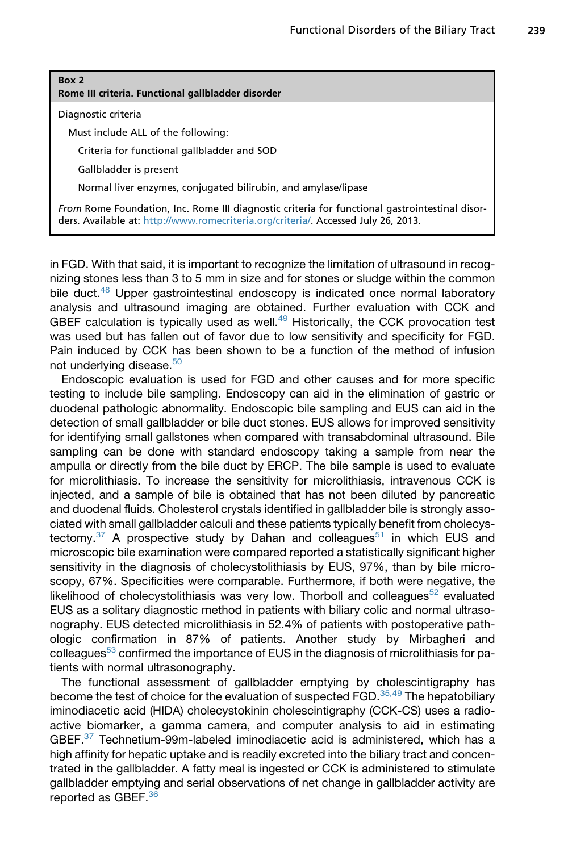#### <span id="page-6-0"></span>Box 2

Rome III criteria. Functional gallbladder disorder

Diagnostic criteria

Must include ALL of the following:

Criteria for functional gallbladder and SOD

Gallbladder is present

Normal liver enzymes, conjugated bilirubin, and amylase/lipase

From Rome Foundation, Inc. Rome III diagnostic criteria for functional gastrointestinal disorders. Available at: <http://www.romecriteria.org/criteria/>. Accessed July 26, 2013.

in FGD. With that said, it is important to recognize the limitation of ultrasound in recognizing stones less than 3 to 5 mm in size and for stones or sludge within the common bile duct.<sup>[48](#page-19-0)</sup> Upper gastrointestinal endoscopy is indicated once normal laboratory analysis and ultrasound imaging are obtained. Further evaluation with CCK and GBEF calculation is typically used as well. $49$  Historically, the CCK provocation test was used but has fallen out of favor due to low sensitivity and specificity for FGD. Pain induced by CCK has been shown to be a function of the method of infusion not underlying disease.<sup>[50](#page-19-0)</sup>

Endoscopic evaluation is used for FGD and other causes and for more specific testing to include bile sampling. Endoscopy can aid in the elimination of gastric or duodenal pathologic abnormality. Endoscopic bile sampling and EUS can aid in the detection of small gallbladder or bile duct stones. EUS allows for improved sensitivity for identifying small gallstones when compared with transabdominal ultrasound. Bile sampling can be done with standard endoscopy taking a sample from near the ampulla or directly from the bile duct by ERCP. The bile sample is used to evaluate for microlithiasis. To increase the sensitivity for microlithiasis, intravenous CCK is injected, and a sample of bile is obtained that has not been diluted by pancreatic and duodenal fluids. Cholesterol crystals identified in gallbladder bile is strongly associated with small gallbladder calculi and these patients typically benefit from cholecystectomy. $37$  A prospective study by Dahan and colleagues<sup>[51](#page-19-0)</sup> in which EUS and microscopic bile examination were compared reported a statistically significant higher sensitivity in the diagnosis of cholecystolithiasis by EUS, 97%, than by bile microscopy, 67%. Specificities were comparable. Furthermore, if both were negative, the likelihood of cholecystolithiasis was very low. Thorboll and colleagues<sup>[52](#page-19-0)</sup> evaluated EUS as a solitary diagnostic method in patients with biliary colic and normal ultrasonography. EUS detected microlithiasis in 52.4% of patients with postoperative pathologic confirmation in 87% of patients. Another study by Mirbagheri and colleagues<sup>[53](#page-19-0)</sup> confirmed the importance of EUS in the diagnosis of microlithiasis for patients with normal ultrasonography.

The functional assessment of gallbladder emptying by cholescintigraphy has become the test of choice for the evaluation of suspected FGD.<sup>[35,49](#page-18-0)</sup> The hepatobiliary iminodiacetic acid (HIDA) cholecystokinin cholescintigraphy (CCK-CS) uses a radioactive biomarker, a gamma camera, and computer analysis to aid in estimating GBEF.<sup>[37](#page-18-0)</sup> Technetium-99m-labeled iminodiacetic acid is administered, which has a high affinity for hepatic uptake and is readily excreted into the biliary tract and concentrated in the gallbladder. A fatty meal is ingested or CCK is administered to stimulate gallbladder emptying and serial observations of net change in gallbladder activity are reported as GBEF.<sup>[36](#page-18-0)</sup>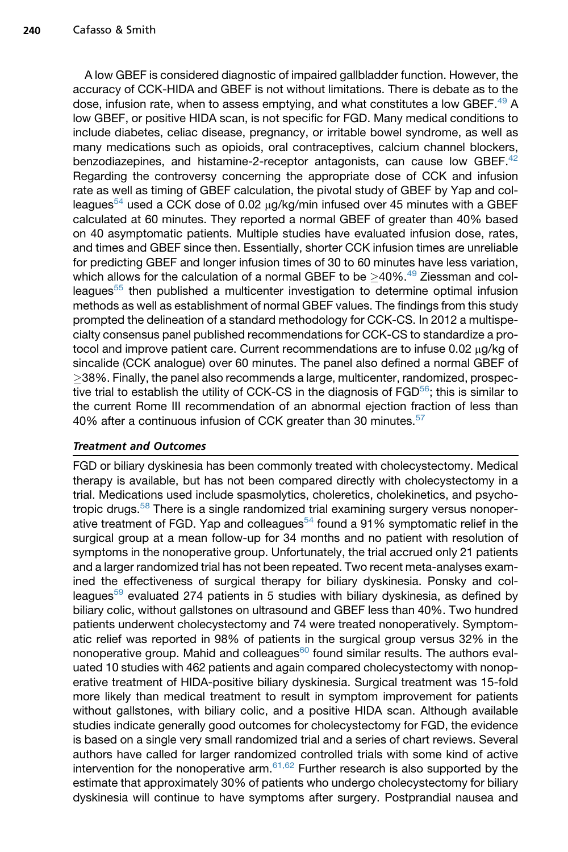A low GBEF is considered diagnostic of impaired gallbladder function. However, the accuracy of CCK-HIDA and GBEF is not without limitations. There is debate as to the dose, infusion rate, when to assess emptying, and what constitutes a low GBEF.<sup>[49](#page-19-0)</sup> A low GBEF, or positive HIDA scan, is not specific for FGD. Many medical conditions to include diabetes, celiac disease, pregnancy, or irritable bowel syndrome, as well as many medications such as opioids, oral contraceptives, calcium channel blockers, benzodiazepines, and histamine-2-receptor antagonists, can cause low GBEF.<sup>[42](#page-18-0)</sup> Regarding the controversy concerning the appropriate dose of CCK and infusion rate as well as timing of GBEF calculation, the pivotal study of GBEF by Yap and col-leagues<sup>[54](#page-19-0)</sup> used a CCK dose of 0.02  $\mu$ g/kg/min infused over 45 minutes with a GBEF calculated at 60 minutes. They reported a normal GBEF of greater than 40% based on 40 asymptomatic patients. Multiple studies have evaluated infusion dose, rates, and times and GBEF since then. Essentially, shorter CCK infusion times are unreliable for predicting GBEF and longer infusion times of 30 to 60 minutes have less variation, which allows for the calculation of a normal GBEF to be  $>40\%$ .<sup>[49](#page-19-0)</sup> Ziessman and col-leagues<sup>[55](#page-19-0)</sup> then published a multicenter investigation to determine optimal infusion methods as well as establishment of normal GBEF values. The findings from this study prompted the delineation of a standard methodology for CCK-CS. In 2012 a multispecialty consensus panel published recommendations for CCK-CS to standardize a protocol and improve patient care. Current recommendations are to infuse  $0.02 \mu g/kg$  of sincalide (CCK analogue) over 60 minutes. The panel also defined a normal GBEF of 38%. Finally, the panel also recommends a large, multicenter, randomized, prospective trial to establish the utility of CCK-CS in the diagnosis of FGD<sup>56</sup>; this is similar to the current Rome III recommendation of an abnormal ejection fraction of less than 40% after a continuous infusion of CCK greater than 30 minutes.<sup>[57](#page-19-0)</sup>

# Treatment and Outcomes

FGD or biliary dyskinesia has been commonly treated with cholecystectomy. Medical therapy is available, but has not been compared directly with cholecystectomy in a trial. Medications used include spasmolytics, choleretics, cholekinetics, and psycho-tropic drugs.<sup>[58](#page-19-0)</sup> There is a single randomized trial examining surgery versus nonoper-ative treatment of FGD. Yap and colleagues<sup>[54](#page-19-0)</sup> found a 91% symptomatic relief in the surgical group at a mean follow-up for 34 months and no patient with resolution of symptoms in the nonoperative group. Unfortunately, the trial accrued only 21 patients and a larger randomized trial has not been repeated. Two recent meta-analyses examined the effectiveness of surgical therapy for biliary dyskinesia. Ponsky and col-leagues<sup>[59](#page-19-0)</sup> evaluated 274 patients in 5 studies with biliary dyskinesia, as defined by biliary colic, without gallstones on ultrasound and GBEF less than 40%. Two hundred patients underwent cholecystectomy and 74 were treated nonoperatively. Symptomatic relief was reported in 98% of patients in the surgical group versus 32% in the nonoperative group. Mahid and colleagues<sup>[60](#page-19-0)</sup> found similar results. The authors evaluated 10 studies with 462 patients and again compared cholecystectomy with nonoperative treatment of HIDA-positive biliary dyskinesia. Surgical treatment was 15-fold more likely than medical treatment to result in symptom improvement for patients without gallstones, with biliary colic, and a positive HIDA scan. Although available studies indicate generally good outcomes for cholecystectomy for FGD, the evidence is based on a single very small randomized trial and a series of chart reviews. Several authors have called for larger randomized controlled trials with some kind of active intervention for the nonoperative arm. $61,62$  Further research is also supported by the estimate that approximately 30% of patients who undergo cholecystectomy for biliary dyskinesia will continue to have symptoms after surgery. Postprandial nausea and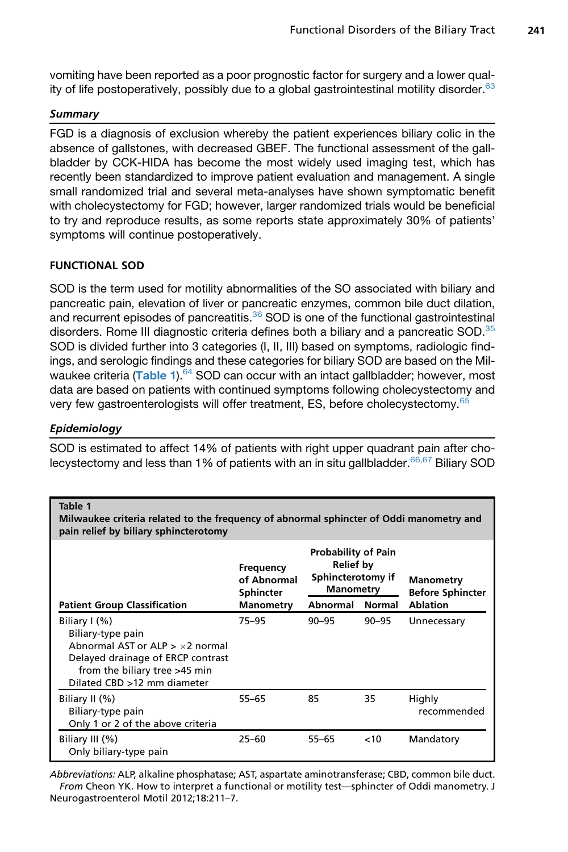<span id="page-8-0"></span>vomiting have been reported as a poor prognostic factor for surgery and a lower qual-ity of life postoperatively, possibly due to a global gastrointestinal motility disorder.<sup>[63](#page-19-0)</sup>

## Summary

FGD is a diagnosis of exclusion whereby the patient experiences biliary colic in the absence of gallstones, with decreased GBEF. The functional assessment of the gallbladder by CCK-HIDA has become the most widely used imaging test, which has recently been standardized to improve patient evaluation and management. A single small randomized trial and several meta-analyses have shown symptomatic benefit with cholecystectomy for FGD; however, larger randomized trials would be beneficial to try and reproduce results, as some reports state approximately 30% of patients' symptoms will continue postoperatively.

# FUNCTIONAL SOD

SOD is the term used for motility abnormalities of the SO associated with biliary and pancreatic pain, elevation of liver or pancreatic enzymes, common bile duct dilation, and recurrent episodes of pancreatitis. $36$  SOD is one of the functional gastrointestinal disorders. Rome III diagnostic criteria defines both a biliary and a pancreatic SOD.<sup>[35](#page-18-0)</sup> SOD is divided further into 3 categories (I, II, III) based on symptoms, radiologic findings, and serologic findings and these categories for biliary SOD are based on the Milwaukee criteria  $(Table 1)$ .<sup>64</sup> SOD can occur with an intact gallbladder; however, most data are based on patients with continued symptoms following cholecystectomy and very few gastroenterologists will offer treatment, ES, before cholecystectomy.<sup>[65](#page-20-0)</sup>

#### Epidemiology

SOD is estimated to affect 14% of patients with right upper quadrant pain after cho-lecystectomy and less than 1% of patients with an in situ gallbladder. [66,67](#page-20-0) Biliary SOD

| Table 1<br>Milwaukee criteria related to the frequency of abnormal sphincter of Oddi manometry and<br>pain relief by biliary sphincterotomy                                              |                                              |                                                                                         |           |                                             |
|------------------------------------------------------------------------------------------------------------------------------------------------------------------------------------------|----------------------------------------------|-----------------------------------------------------------------------------------------|-----------|---------------------------------------------|
|                                                                                                                                                                                          | Frequency<br>of Abnormal<br><b>Sphincter</b> | <b>Probability of Pain</b><br><b>Relief by</b><br>Sphincterotomy if<br><b>Manometry</b> |           | <b>Manometry</b><br><b>Before Sphincter</b> |
| <b>Patient Group Classification</b>                                                                                                                                                      | Manometry                                    | Abnormal                                                                                | Normal    | <b>Ablation</b>                             |
| Biliary $\vert$ (%)<br>Biliary-type pain<br>Abnormal AST or ALP $> \times 2$ normal<br>Delayed drainage of ERCP contrast<br>from the biliary tree >45 min<br>Dilated CBD >12 mm diameter | 75–95                                        | $90 - 95$                                                                               | $90 - 95$ | Unnecessary                                 |
| Biliary II (%)<br>Biliary-type pain<br>Only 1 or 2 of the above criteria                                                                                                                 | $55 - 65$                                    | 85                                                                                      | 35        | Highly<br>recommended                       |
| Biliary III (%)<br>Only biliary-type pain                                                                                                                                                | $25 - 60$                                    | $55 - 65$                                                                               | < 10      | Mandatory                                   |

Abbreviations: ALP, alkaline phosphatase; AST, aspartate aminotransferase; CBD, common bile duct. From Cheon YK. How to interpret a functional or motility test—sphincter of Oddi manometry. J Neurogastroenterol Motil 2012;18:211–7.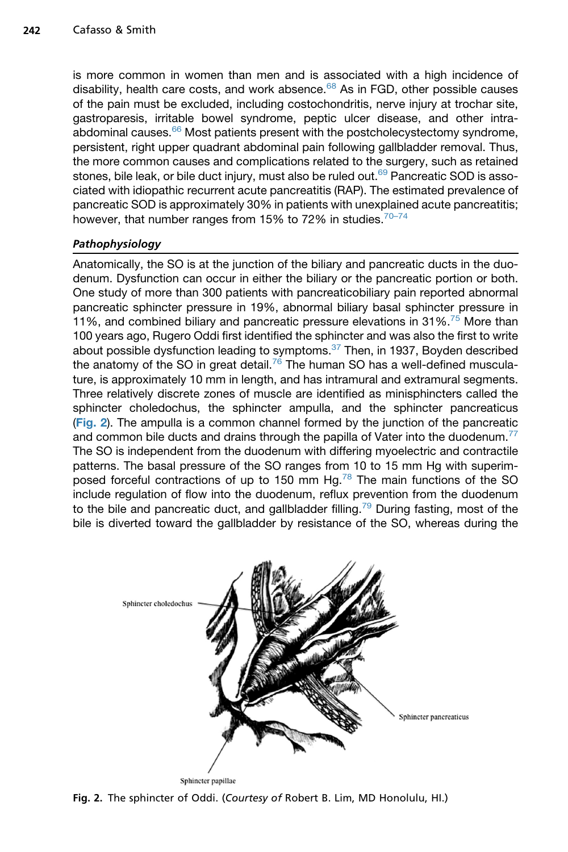is more common in women than men and is associated with a high incidence of disability, health care costs, and work absence. $68$  As in FGD, other possible causes of the pain must be excluded, including costochondritis, nerve injury at trochar site, gastroparesis, irritable bowel syndrome, peptic ulcer disease, and other intraabdominal causes. $66$  Most patients present with the postcholecystectomy syndrome, persistent, right upper quadrant abdominal pain following gallbladder removal. Thus, the more common causes and complications related to the surgery, such as retained stones, bile leak, or bile duct injury, must also be ruled out.<sup>[69](#page-20-0)</sup> Pancreatic SOD is associated with idiopathic recurrent acute pancreatitis (RAP). The estimated prevalence of pancreatic SOD is approximately 30% in patients with unexplained acute pancreatitis; however, that number ranges from 15% to 72% in studies.<sup>[70–74](#page-20-0)</sup>

### Pathophysiology

Anatomically, the SO is at the junction of the biliary and pancreatic ducts in the duodenum. Dysfunction can occur in either the biliary or the pancreatic portion or both. One study of more than 300 patients with pancreaticobiliary pain reported abnormal pancreatic sphincter pressure in 19%, abnormal biliary basal sphincter pressure in 11%, and combined biliary and pancreatic pressure elevations in  $31\%$ .<sup>[75](#page-20-0)</sup> More than 100 years ago, Rugero Oddi first identified the sphincter and was also the first to write about possible dysfunction leading to symptoms.<sup>37</sup> Then, in 1937, Boyden described the anatomy of the SO in great detail.<sup>[76](#page-20-0)</sup> The human SO has a well-defined musculature, is approximately 10 mm in length, and has intramural and extramural segments. Three relatively discrete zones of muscle are identified as minisphincters called the sphincter choledochus, the sphincter ampulla, and the sphincter pancreaticus (Fig. 2). The ampulla is a common channel formed by the junction of the pancreatic and common bile ducts and drains through the papilla of Vater into the duodenum.<sup>[77](#page-20-0)</sup> The SO is independent from the duodenum with differing myoelectric and contractile patterns. The basal pressure of the SO ranges from 10 to 15 mm Hg with superim-posed forceful contractions of up to 150 mm Hg.<sup>[78](#page-20-0)</sup> The main functions of the SO include regulation of flow into the duodenum, reflux prevention from the duodenum to the bile and pancreatic duct, and gallbladder filling.<sup>[79](#page-20-0)</sup> During fasting, most of the bile is diverted toward the gallbladder by resistance of the SO, whereas during the



Fig. 2. The sphincter of Oddi. (Courtesy of Robert B. Lim, MD Honolulu, HI.)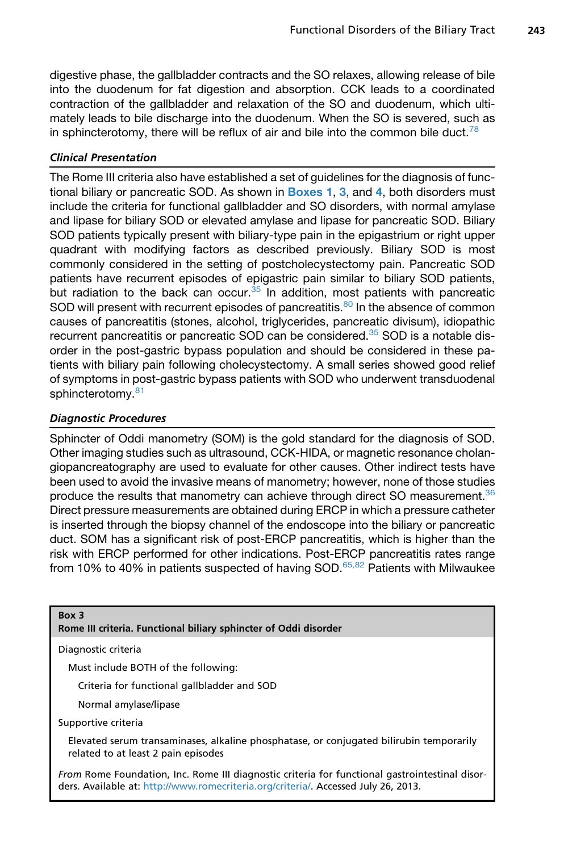digestive phase, the gallbladder contracts and the SO relaxes, allowing release of bile into the duodenum for fat digestion and absorption. CCK leads to a coordinated contraction of the gallbladder and relaxation of the SO and duodenum, which ultimately leads to bile discharge into the duodenum. When the SO is severed, such as in sphincterotomy, there will be reflux of air and bile into the common bile duct.<sup>[78](#page-20-0)</sup>

### Clinical Presentation

The Rome III criteria also have established a set of guidelines for the diagnosis of func-tional biliary or pancreatic SOD. As shown in [Boxes 1](#page-4-0), 3, and [4](#page-11-0), both disorders must include the criteria for functional gallbladder and SO disorders, with normal amylase and lipase for biliary SOD or elevated amylase and lipase for pancreatic SOD. Biliary SOD patients typically present with biliary-type pain in the epigastrium or right upper quadrant with modifying factors as described previously. Biliary SOD is most commonly considered in the setting of postcholecystectomy pain. Pancreatic SOD patients have recurrent episodes of epigastric pain similar to biliary SOD patients, but radiation to the back can occur.<sup>[35](#page-18-0)</sup> In addition, most patients with pancreatic SOD will present with recurrent episodes of pancreatitis.<sup>[80](#page-20-0)</sup> In the absence of common causes of pancreatitis (stones, alcohol, triglycerides, pancreatic divisum), idiopathic recurrent pancreatitis or pancreatic SOD can be considered.<sup>[35](#page-18-0)</sup> SOD is a notable disorder in the post-gastric bypass population and should be considered in these patients with biliary pain following cholecystectomy. A small series showed good relief of symptoms in post-gastric bypass patients with SOD who underwent transduodenal sphincterotomy.<sup>[81](#page-20-0)</sup>

### Diagnostic Procedures

Sphincter of Oddi manometry (SOM) is the gold standard for the diagnosis of SOD. Other imaging studies such as ultrasound, CCK-HIDA, or magnetic resonance cholangiopancreatography are used to evaluate for other causes. Other indirect tests have been used to avoid the invasive means of manometry; however, none of those studies produce the results that manometry can achieve through direct SO measurement.<sup>[36](#page-18-0)</sup> Direct pressure measurements are obtained during ERCP in which a pressure catheter is inserted through the biopsy channel of the endoscope into the biliary or pancreatic duct. SOM has a significant risk of post-ERCP pancreatitis, which is higher than the risk with ERCP performed for other indications. Post-ERCP pancreatitis rates range from 10% to 40% in patients suspected of having SOD. $65,82$  Patients with Milwaukee

| Box 3<br>Rome III criteria. Functional biliary sphincter of Oddi disorder                                                                                                            |
|--------------------------------------------------------------------------------------------------------------------------------------------------------------------------------------|
| Diagnostic criteria                                                                                                                                                                  |
| Must include BOTH of the following:                                                                                                                                                  |
| Criteria for functional gallbladder and SOD                                                                                                                                          |
| Normal amylase/lipase                                                                                                                                                                |
| Supportive criteria                                                                                                                                                                  |
| Elevated serum transaminases, alkaline phosphatase, or conjugated bilirubin temporarily<br>related to at least 2 pain episodes                                                       |
| From Rome Foundation, Inc. Rome III diagnostic criteria for functional gastrointestinal disor-<br>ders. Available at: http://www.romecriteria.org/criteria/. Accessed July 26, 2013. |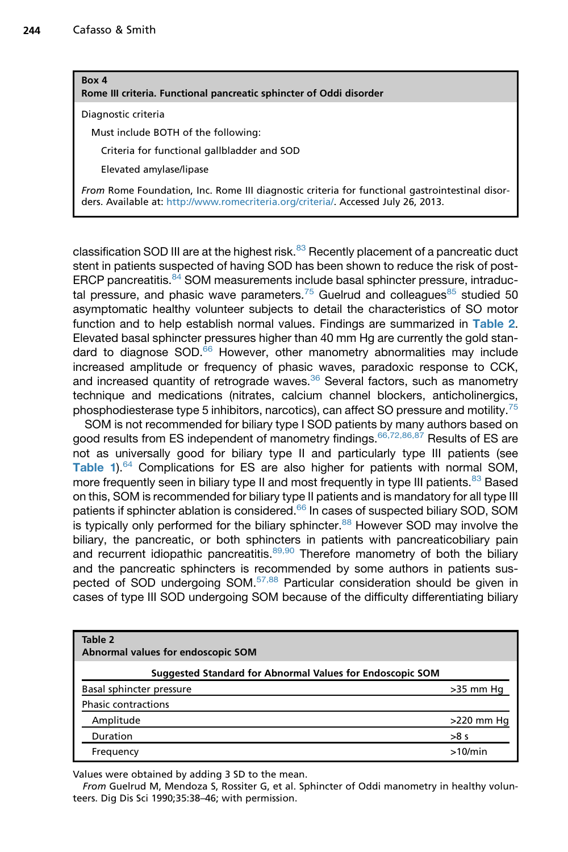#### <span id="page-11-0"></span>Box 4

Rome III criteria. Functional pancreatic sphincter of Oddi disorder

Diagnostic criteria

Must include BOTH of the following:

Criteria for functional gallbladder and SOD

Elevated amylase/lipase

From Rome Foundation, Inc. Rome III diagnostic criteria for functional gastrointestinal disorders. Available at: [http://www.romecriteria.org/criteria/.](http://www.romecriteria.org/criteria/) Accessed July 26, 2013.

classification SOD III are at the highest risk. $83$  Recently placement of a pancreatic duct stent in patients suspected of having SOD has been shown to reduce the risk of post-ERCP pancreatitis.<sup>[84](#page-21-0)</sup> SOM measurements include basal sphincter pressure, intraduc-tal pressure, and phasic wave parameters.<sup>[75](#page-20-0)</sup> Guelrud and colleagues<sup>[85](#page-21-0)</sup> studied 50 asymptomatic healthy volunteer subjects to detail the characteristics of SO motor function and to help establish normal values. Findings are summarized in Table 2. Elevated basal sphincter pressures higher than 40 mm Hg are currently the gold stan-dard to diagnose SOD.<sup>[66](#page-20-0)</sup> However, other manometry abnormalities may include increased amplitude or frequency of phasic waves, paradoxic response to CCK, and increased quantity of retrograde waves. $36$  Several factors, such as manometry technique and medications (nitrates, calcium channel blockers, anticholinergics, phosphodiesterase type 5 inhibitors, narcotics), can affect SO pressure and motility.[75](#page-20-0)

SOM is not recommended for biliary type I SOD patients by many authors based on good results from ES independent of manometry findings. [66,72,86,87](#page-20-0) Results of ES are not as universally good for biliary type II and particularly type III patients (see [Table 1](#page-8-0)).<sup>[64](#page-20-0)</sup> Complications for ES are also higher for patients with normal SOM, more frequently seen in biliary type II and most frequently in type III patients.<sup>[83](#page-20-0)</sup> Based on this, SOM is recommended for biliary type II patients and is mandatory for all type III patients if sphincter ablation is considered.<sup>[66](#page-20-0)</sup> In cases of suspected biliary SOD, SOM is typically only performed for the biliary sphincter. $88$  However SOD may involve the biliary, the pancreatic, or both sphincters in patients with pancreaticobiliary pain and recurrent idiopathic pancreatitis.<sup>[89,90](#page-21-0)</sup> Therefore manometry of both the biliary and the pancreatic sphincters is recommended by some authors in patients suspected of SOD undergoing SOM.[57,88](#page-19-0) Particular consideration should be given in cases of type III SOD undergoing SOM because of the difficulty differentiating biliary

| Table 2<br>Abnormal values for endoscopic SOM             |              |
|-----------------------------------------------------------|--------------|
| Suggested Standard for Abnormal Values for Endoscopic SOM |              |
| Basal sphincter pressure                                  | $>35$ mm Hq  |
| <b>Phasic contractions</b>                                |              |
| Amplitude                                                 | $>220$ mm Hq |
| Duration                                                  | >8s          |
| Frequency                                                 | >10/min      |

Values were obtained by adding 3 SD to the mean.

From Guelrud M, Mendoza S, Rossiter G, et al. Sphincter of Oddi manometry in healthy volunteers. Dig Dis Sci 1990;35:38–46; with permission.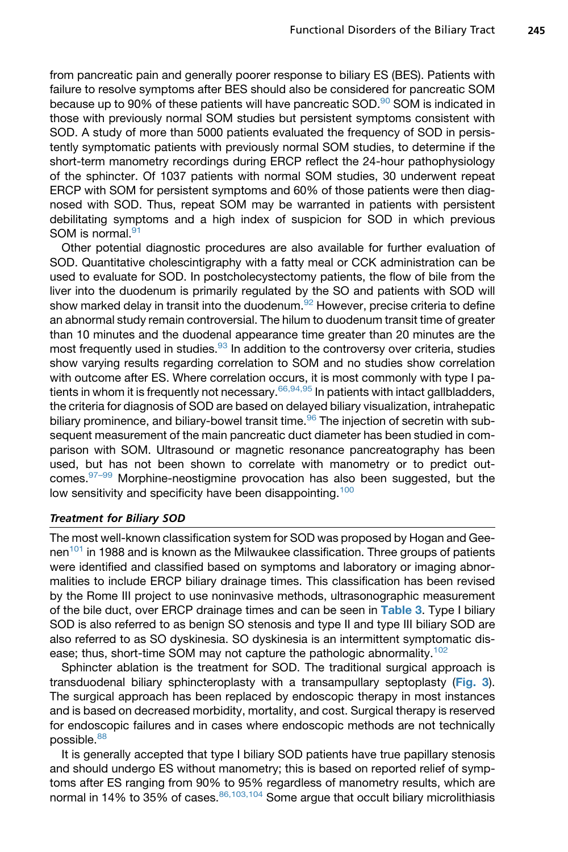from pancreatic pain and generally poorer response to biliary ES (BES). Patients with failure to resolve symptoms after BES should also be considered for pancreatic SOM because up to [90](#page-21-0)% of these patients will have pancreatic SOD.<sup>90</sup> SOM is indicated in those with previously normal SOM studies but persistent symptoms consistent with SOD. A study of more than 5000 patients evaluated the frequency of SOD in persistently symptomatic patients with previously normal SOM studies, to determine if the short-term manometry recordings during ERCP reflect the 24-hour pathophysiology of the sphincter. Of 1037 patients with normal SOM studies, 30 underwent repeat ERCP with SOM for persistent symptoms and 60% of those patients were then diagnosed with SOD. Thus, repeat SOM may be warranted in patients with persistent debilitating symptoms and a high index of suspicion for SOD in which previous SOM is normal.<sup>[91](#page-21-0)</sup>

Other potential diagnostic procedures are also available for further evaluation of SOD. Quantitative cholescintigraphy with a fatty meal or CCK administration can be used to evaluate for SOD. In postcholecystectomy patients, the flow of bile from the liver into the duodenum is primarily regulated by the SO and patients with SOD will show marked delay in transit into the duodenum.<sup>[92](#page-21-0)</sup> However, precise criteria to define an abnormal study remain controversial. The hilum to duodenum transit time of greater than 10 minutes and the duodenal appearance time greater than 20 minutes are the most frequently used in studies.<sup>[93](#page-21-0)</sup> In addition to the controversy over criteria, studies show varying results regarding correlation to SOM and no studies show correlation with outcome after ES. Where correlation occurs, it is most commonly with type I patients in whom it is frequently not necessary.  $66,94,95$  In patients with intact gallbladders, the criteria for diagnosis of SOD are based on delayed biliary visualization, intrahepatic biliary prominence, and biliary-bowel transit time.<sup>[96](#page-21-0)</sup> The injection of secretin with subsequent measurement of the main pancreatic duct diameter has been studied in comparison with SOM. Ultrasound or magnetic resonance pancreatography has been used, but has not been shown to correlate with manometry or to predict outcomes[.97–99](#page-21-0) Morphine-neostigmine provocation has also been suggested, but the low sensitivity and specificity have been disappointing.<sup>[100](#page-21-0)</sup>

#### Treatment for Biliary SOD

The most well-known classification system for SOD was proposed by Hogan and Geenen $101$  in 1988 and is known as the Milwaukee classification. Three groups of patients were identified and classified based on symptoms and laboratory or imaging abnormalities to include ERCP biliary drainage times. This classification has been revised by the Rome III project to use noninvasive methods, ultrasonographic measurement of the bile duct, over ERCP drainage times and can be seen in [Table 3](#page-13-0). Type I biliary SOD is also referred to as benign SO stenosis and type II and type III biliary SOD are also referred to as SO dyskinesia. SO dyskinesia is an intermittent symptomatic dis-ease; thus, short-time SOM may not capture the pathologic abnormality.<sup>[102](#page-22-0)</sup>

Sphincter ablation is the treatment for SOD. The traditional surgical approach is transduodenal biliary sphincteroplasty with a transampullary septoplasty ([Fig. 3](#page-14-0)). The surgical approach has been replaced by endoscopic therapy in most instances and is based on decreased morbidity, mortality, and cost. Surgical therapy is reserved for endoscopic failures and in cases where endoscopic methods are not technically possible.<sup>[88](#page-21-0)</sup>

It is generally accepted that type I biliary SOD patients have true papillary stenosis and should undergo ES without manometry; this is based on reported relief of symptoms after ES ranging from 90% to 95% regardless of manometry results, which are normal in 14% to 35% of cases. $86,103,104$  Some argue that occult biliary microlithiasis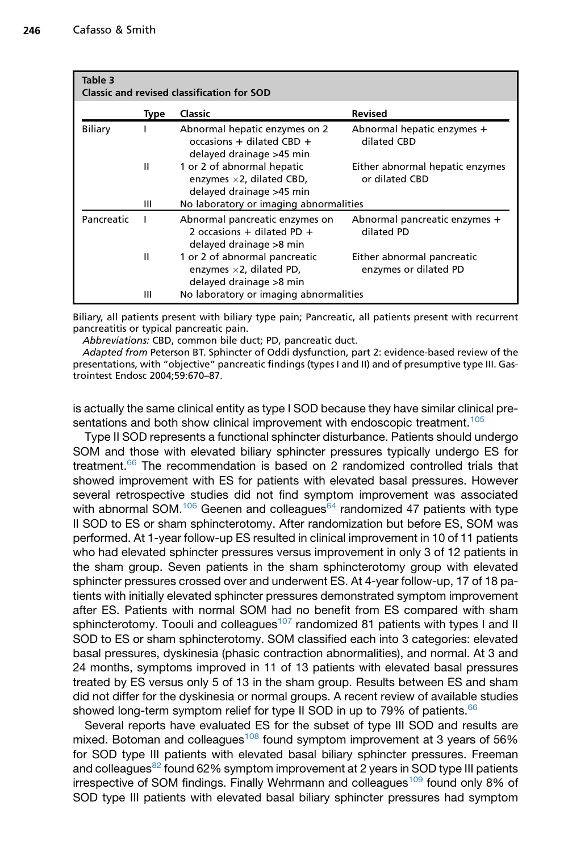<span id="page-13-0"></span>

| Table 3        |      | <b>Classic and revised classification for SOD</b>                                           |                                                     |  |
|----------------|------|---------------------------------------------------------------------------------------------|-----------------------------------------------------|--|
|                | Type | Classic                                                                                     | <b>Revised</b>                                      |  |
| <b>Biliary</b> |      | Abnormal hepatic enzymes on 2<br>occasions + dilated CBD +<br>delayed drainage >45 min      | Abnormal hepatic enzymes +<br>dilated CBD           |  |
|                | Ш    | 1 or 2 of abnormal hepatic<br>enzymes $\times$ 2, dilated CBD,<br>delayed drainage >45 min  | Either abnormal hepatic enzymes<br>or dilated CBD   |  |
|                | Ш    | No laboratory or imaging abnormalities                                                      |                                                     |  |
| Pancreatic     |      | Abnormal pancreatic enzymes on<br>2 occasions $+$ dilated PD $+$<br>delayed drainage >8 min | Abnormal pancreatic enzymes +<br>dilated PD         |  |
|                | Ш    | 1 or 2 of abnormal pancreatic<br>enzymes $\times$ 2, dilated PD,<br>delayed drainage >8 min | Either abnormal pancreatic<br>enzymes or dilated PD |  |
|                | Ш    | No laboratory or imaging abnormalities                                                      |                                                     |  |

Biliary, all patients present with biliary type pain; Pancreatic, all patients present with recurrent pancreatitis or typical pancreatic pain.

Abbreviations: CBD, common bile duct; PD, pancreatic duct.

Adapted from Peterson BT. Sphincter of Oddi dysfunction, part 2: evidence-based review of the presentations, with "objective" pancreatic findings (types I and II) and of presumptive type III. Gastrointest Endosc 2004;59:670–87.

is actually the same clinical entity as type I SOD because they have similar clinical presentations and both show clinical improvement with endoscopic treatment.<sup>105</sup>

Type II SOD represents a functional sphincter disturbance. Patients should undergo SOM and those with elevated biliary sphincter pressures typically undergo ES for treatment.<sup>[66](#page-20-0)</sup> The recommendation is based on 2 randomized controlled trials that showed improvement with ES for patients with elevated basal pressures. However several retrospective studies did not find symptom improvement was associated with abnormal SOM.<sup>[106](#page-22-0)</sup> Geenen and colleagues<sup>[64](#page-20-0)</sup> randomized 47 patients with type II SOD to ES or sham sphincterotomy. After randomization but before ES, SOM was performed. At 1-year follow-up ES resulted in clinical improvement in 10 of 11 patients who had elevated sphincter pressures versus improvement in only 3 of 12 patients in the sham group. Seven patients in the sham sphincterotomy group with elevated sphincter pressures crossed over and underwent ES. At 4-year follow-up, 17 of 18 patients with initially elevated sphincter pressures demonstrated symptom improvement after ES. Patients with normal SOM had no benefit from ES compared with sham sphincterotomy. Toouli and colleagues<sup>[107](#page-22-0)</sup> randomized 81 patients with types I and II SOD to ES or sham sphincterotomy. SOM classified each into 3 categories: elevated basal pressures, dyskinesia (phasic contraction abnormalities), and normal. At 3 and 24 months, symptoms improved in 11 of 13 patients with elevated basal pressures treated by ES versus only 5 of 13 in the sham group. Results between ES and sham did not differ for the dyskinesia or normal groups. A recent review of available studies showed long-term symptom relief for type II SOD in up to 79% of patients.<sup>[66](#page-20-0)</sup>

Several reports have evaluated ES for the subset of type III SOD and results are mixed. Botoman and colleagues<sup>[108](#page-22-0)</sup> found symptom improvement at 3 years of 56% for SOD type III patients with elevated basal biliary sphincter pressures. Freeman and colleagues<sup>[82](#page-20-0)</sup> found 62% symptom improvement at 2 years in SOD type III patients irrespective of SOM findings. Finally Wehrmann and colleagues<sup>[109](#page-22-0)</sup> found only 8% of SOD type III patients with elevated basal biliary sphincter pressures had symptom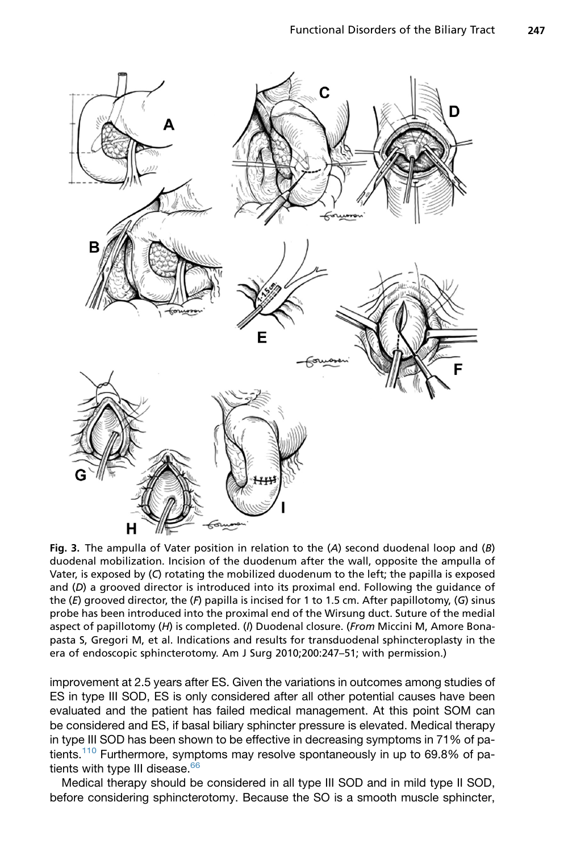<span id="page-14-0"></span>

Fig. 3. The ampulla of Vater position in relation to the  $(A)$  second duodenal loop and  $(B)$ duodenal mobilization. Incision of the duodenum after the wall, opposite the ampulla of Vater, is exposed by (C) rotating the mobilized duodenum to the left; the papilla is exposed and  $(D)$  a grooved director is introduced into its proximal end. Following the guidance of the  $(E)$  grooved director, the  $(F)$  papilla is incised for 1 to 1.5 cm. After papillotomy,  $(G)$  sinus probe has been introduced into the proximal end of the Wirsung duct. Suture of the medial aspect of papillotomy (H) is completed. (I) Duodenal closure. (From Miccini M, Amore Bonapasta S, Gregori M, et al. Indications and results for transduodenal sphincteroplasty in the era of endoscopic sphincterotomy. Am J Surg 2010;200:247–51; with permission.)

improvement at 2.5 years after ES. Given the variations in outcomes among studies of ES in type III SOD, ES is only considered after all other potential causes have been evaluated and the patient has failed medical management. At this point SOM can be considered and ES, if basal biliary sphincter pressure is elevated. Medical therapy in type III SOD has been shown to be effective in decreasing symptoms in 71% of pa-tients.<sup>[110](#page-22-0)</sup> Furthermore, symptoms may resolve spontaneously in up to 69.8% of pa-tients with type III disease.<sup>[66](#page-20-0)</sup>

Medical therapy should be considered in all type III SOD and in mild type II SOD, before considering sphincterotomy. Because the SO is a smooth muscle sphincter,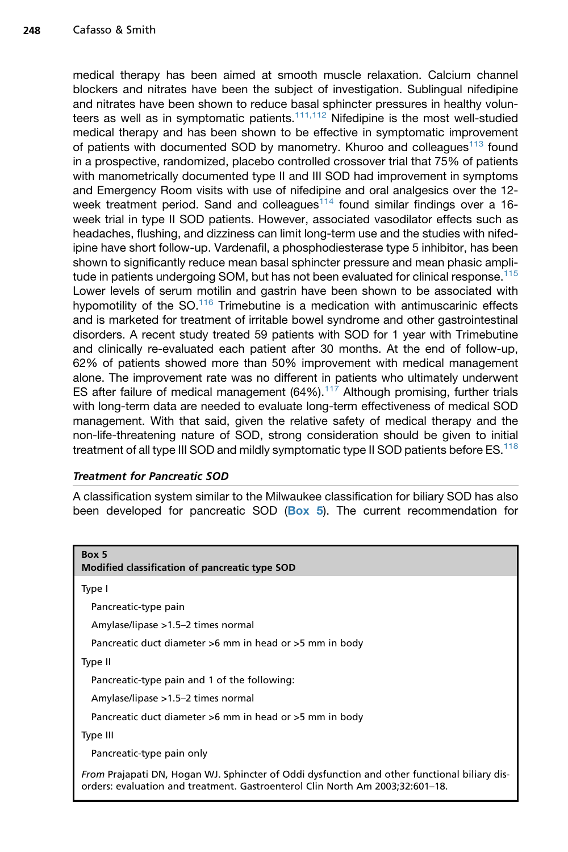medical therapy has been aimed at smooth muscle relaxation. Calcium channel blockers and nitrates have been the subject of investigation. Sublingual nifedipine and nitrates have been shown to reduce basal sphincter pressures in healthy volunteers as well as in symptomatic patients. $111,112$  Nifedipine is the most well-studied medical therapy and has been shown to be effective in symptomatic improvement of patients with documented SOD by manometry. Khuroo and colleagues<sup>[113](#page-22-0)</sup> found in a prospective, randomized, placebo controlled crossover trial that 75% of patients with manometrically documented type II and III SOD had improvement in symptoms and Emergency Room visits with use of nifedipine and oral analgesics over the 12- week treatment period. Sand and colleagues<sup>[114](#page-22-0)</sup> found similar findings over a 16week trial in type II SOD patients. However, associated vasodilator effects such as headaches, flushing, and dizziness can limit long-term use and the studies with nifedipine have short follow-up. Vardenafil, a phosphodiesterase type 5 inhibitor, has been shown to significantly reduce mean basal sphincter pressure and mean phasic ampli-tude in patients undergoing SOM, but has not been evaluated for clinical response.<sup>[115](#page-22-0)</sup> Lower levels of serum motilin and gastrin have been shown to be associated with hypomotility of the  $SO<sup>116</sup>$  Trimebutine is a medication with antimuscarinic effects and is marketed for treatment of irritable bowel syndrome and other gastrointestinal disorders. A recent study treated 59 patients with SOD for 1 year with Trimebutine and clinically re-evaluated each patient after 30 months. At the end of follow-up, 62% of patients showed more than 50% improvement with medical management alone. The improvement rate was no different in patients who ultimately underwent ES after failure of medical management  $(64%)$ .<sup>[117](#page-22-0)</sup> Although promising, further trials with long-term data are needed to evaluate long-term effectiveness of medical SOD management. With that said, given the relative safety of medical therapy and the non-life-threatening nature of SOD, strong consideration should be given to initial treatment of all type III SOD and mildly symptomatic type II SOD patients before ES.<sup>[118](#page-23-0)</sup>

# Treatment for Pancreatic SOD

A classification system similar to the Milwaukee classification for biliary SOD has also been developed for pancreatic SOD (Box 5). The current recommendation for

| Box 5<br>Modified classification of pancreatic type SOD                                                                                                                       |
|-------------------------------------------------------------------------------------------------------------------------------------------------------------------------------|
| Type I                                                                                                                                                                        |
| Pancreatic-type pain                                                                                                                                                          |
| Amylase/lipase >1.5–2 times normal                                                                                                                                            |
| Pancreatic duct diameter $>6$ mm in head or $>5$ mm in body                                                                                                                   |
| Type II                                                                                                                                                                       |
| Pancreatic-type pain and 1 of the following:                                                                                                                                  |
| Amylase/lipase >1.5–2 times normal                                                                                                                                            |
| Pancreatic duct diameter $>6$ mm in head or $>5$ mm in body                                                                                                                   |
| Type III                                                                                                                                                                      |
| Pancreatic-type pain only                                                                                                                                                     |
| From Prajapati DN, Hogan WJ. Sphincter of Oddi dysfunction and other functional biliary dis-<br>orders: evaluation and treatment. Gastroenterol Clin North Am 2003;32:601-18. |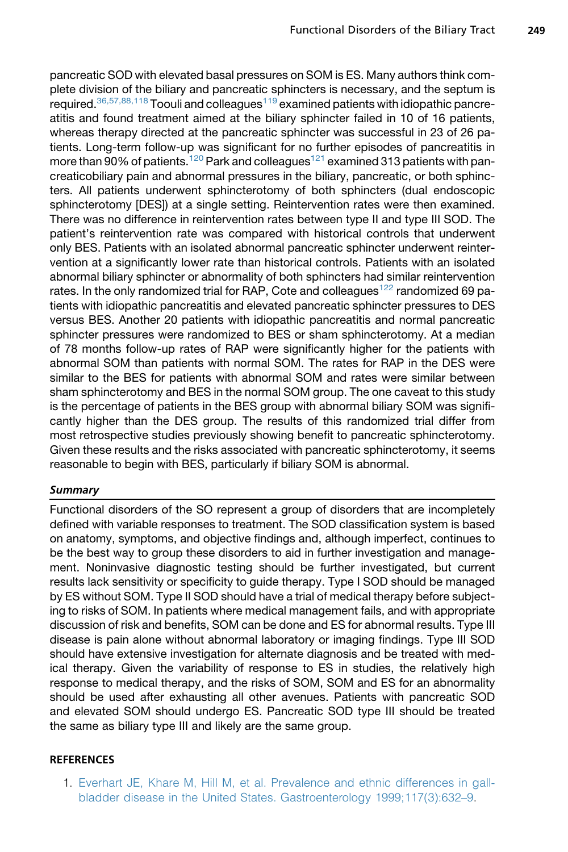<span id="page-16-0"></span>pancreatic SOD with elevated basal pressures on SOM is ES. Many authors think complete division of the biliary and pancreatic sphincters is necessary, and the septum is required. $36,57,88,118$  Toouli and colleagues<sup>[119](#page-23-0)</sup> examined patients with idiopathic pancreatitis and found treatment aimed at the biliary sphincter failed in 10 of 16 patients, whereas therapy directed at the pancreatic sphincter was successful in 23 of 26 patients. Long-term follow-up was significant for no further episodes of pancreatitis in more than 90% of patients.<sup>[120](#page-23-0)</sup> Park and colleagues<sup>[121](#page-23-0)</sup> examined 313 patients with pancreaticobiliary pain and abnormal pressures in the biliary, pancreatic, or both sphincters. All patients underwent sphincterotomy of both sphincters (dual endoscopic sphincterotomy [DES]) at a single setting. Reintervention rates were then examined. There was no difference in reintervention rates between type II and type III SOD. The patient's reintervention rate was compared with historical controls that underwent only BES. Patients with an isolated abnormal pancreatic sphincter underwent reintervention at a significantly lower rate than historical controls. Patients with an isolated abnormal biliary sphincter or abnormality of both sphincters had similar reintervention rates. In the only randomized trial for RAP, Cote and colleagues<sup>[122](#page-23-0)</sup> randomized 69 patients with idiopathic pancreatitis and elevated pancreatic sphincter pressures to DES versus BES. Another 20 patients with idiopathic pancreatitis and normal pancreatic sphincter pressures were randomized to BES or sham sphincterotomy. At a median of 78 months follow-up rates of RAP were significantly higher for the patients with abnormal SOM than patients with normal SOM. The rates for RAP in the DES were similar to the BES for patients with abnormal SOM and rates were similar between sham sphincterotomy and BES in the normal SOM group. The one caveat to this study is the percentage of patients in the BES group with abnormal biliary SOM was significantly higher than the DES group. The results of this randomized trial differ from most retrospective studies previously showing benefit to pancreatic sphincterotomy. Given these results and the risks associated with pancreatic sphincterotomy, it seems reasonable to begin with BES, particularly if biliary SOM is abnormal.

#### **Summary**

Functional disorders of the SO represent a group of disorders that are incompletely defined with variable responses to treatment. The SOD classification system is based on anatomy, symptoms, and objective findings and, although imperfect, continues to be the best way to group these disorders to aid in further investigation and management. Noninvasive diagnostic testing should be further investigated, but current results lack sensitivity or specificity to guide therapy. Type I SOD should be managed by ES without SOM. Type II SOD should have a trial of medical therapy before subjecting to risks of SOM. In patients where medical management fails, and with appropriate discussion of risk and benefits, SOM can be done and ES for abnormal results. Type III disease is pain alone without abnormal laboratory or imaging findings. Type III SOD should have extensive investigation for alternate diagnosis and be treated with medical therapy. Given the variability of response to ES in studies, the relatively high response to medical therapy, and the risks of SOM, SOM and ES for an abnormality should be used after exhausting all other avenues. Patients with pancreatic SOD and elevated SOM should undergo ES. Pancreatic SOD type III should be treated the same as biliary type III and likely are the same group.

#### **REFERENCES**

1. [Everhart JE, Khare M, Hill M, et al. Prevalence and ethnic differences in gall](http://refhub.elsevier.com/S0039-6109(13)00210-7/sref1)[bladder disease in the United States. Gastroenterology 1999;117\(3\):632–9](http://refhub.elsevier.com/S0039-6109(13)00210-7/sref1).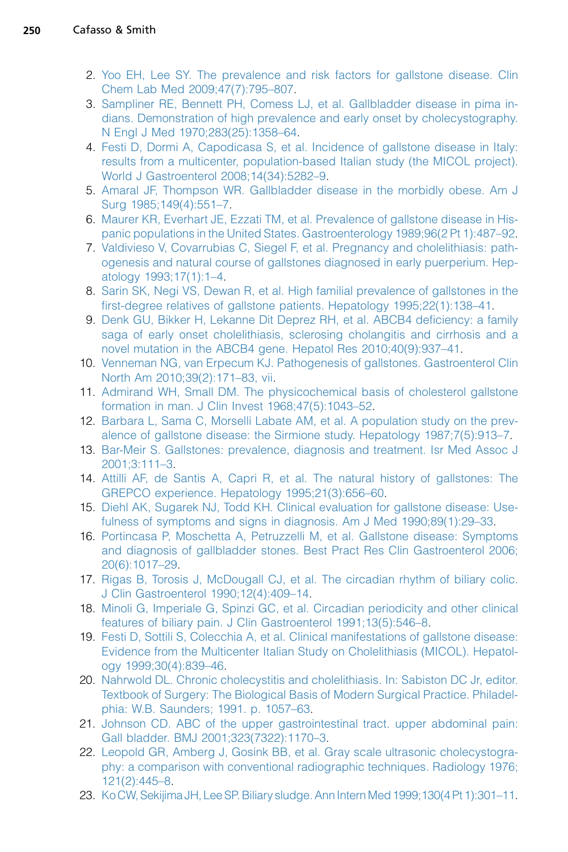- <span id="page-17-0"></span>2. [Yoo EH, Lee SY. The prevalence and risk factors for gallstone disease. Clin](http://refhub.elsevier.com/S0039-6109(13)00210-7/sref2) [Chem Lab Med 2009;47\(7\):795–807](http://refhub.elsevier.com/S0039-6109(13)00210-7/sref2).
- 3. [Sampliner RE, Bennett PH, Comess LJ, et al. Gallbladder disease in pima in](http://refhub.elsevier.com/S0039-6109(13)00210-7/sref3)[dians. Demonstration of high prevalence and early onset by cholecystography.](http://refhub.elsevier.com/S0039-6109(13)00210-7/sref3) [N Engl J Med 1970;283\(25\):1358–64.](http://refhub.elsevier.com/S0039-6109(13)00210-7/sref3)
- 4. [Festi D, Dormi A, Capodicasa S, et al. Incidence of gallstone disease in Italy:](http://refhub.elsevier.com/S0039-6109(13)00210-7/sref4) [results from a multicenter, population-based Italian study \(the MICOL project\).](http://refhub.elsevier.com/S0039-6109(13)00210-7/sref4) [World J Gastroenterol 2008;14\(34\):5282–9.](http://refhub.elsevier.com/S0039-6109(13)00210-7/sref4)
- 5. [Amaral JF, Thompson WR. Gallbladder disease in the morbidly obese. Am J](http://refhub.elsevier.com/S0039-6109(13)00210-7/sref5) [Surg 1985;149\(4\):551–7](http://refhub.elsevier.com/S0039-6109(13)00210-7/sref5).
- 6. [Maurer KR, Everhart JE, Ezzati TM, et al. Prevalence of gallstone disease in His](http://refhub.elsevier.com/S0039-6109(13)00210-7/sref6)[panic populations in the United States. Gastroenterology 1989;96\(2 Pt 1\):487–92.](http://refhub.elsevier.com/S0039-6109(13)00210-7/sref6)
- 7. [Valdivieso V, Covarrubias C, Siegel F, et al. Pregnancy and cholelithiasis: path](http://refhub.elsevier.com/S0039-6109(13)00210-7/sref7)[ogenesis and natural course of gallstones diagnosed in early puerperium. Hep](http://refhub.elsevier.com/S0039-6109(13)00210-7/sref7)[atology 1993;17\(1\):1–4.](http://refhub.elsevier.com/S0039-6109(13)00210-7/sref7)
- 8. [Sarin SK, Negi VS, Dewan R, et al. High familial prevalence of gallstones in the](http://refhub.elsevier.com/S0039-6109(13)00210-7/sref8) [first-degree relatives of gallstone patients. Hepatology 1995;22\(1\):138–41.](http://refhub.elsevier.com/S0039-6109(13)00210-7/sref8)
- 9. [Denk GU, Bikker H, Lekanne Dit Deprez RH, et al. ABCB4 deficiency: a family](http://refhub.elsevier.com/S0039-6109(13)00210-7/sref9) [saga of early onset cholelithiasis, sclerosing cholangitis and cirrhosis and a](http://refhub.elsevier.com/S0039-6109(13)00210-7/sref9) [novel mutation in the ABCB4 gene. Hepatol Res 2010;40\(9\):937–41.](http://refhub.elsevier.com/S0039-6109(13)00210-7/sref9)
- 10. [Venneman NG, van Erpecum KJ. Pathogenesis of gallstones. Gastroenterol Clin](http://refhub.elsevier.com/S0039-6109(13)00210-7/sref10) [North Am 2010;39\(2\):171–83, vii](http://refhub.elsevier.com/S0039-6109(13)00210-7/sref10).
- 11. [Admirand WH, Small DM. The physicochemical basis of cholesterol gallstone](http://refhub.elsevier.com/S0039-6109(13)00210-7/sref11) [formation in man. J Clin Invest 1968;47\(5\):1043–52.](http://refhub.elsevier.com/S0039-6109(13)00210-7/sref11)
- 12. [Barbara L, Sama C, Morselli Labate AM, et al. A population study on the prev](http://refhub.elsevier.com/S0039-6109(13)00210-7/sref12)[alence of gallstone disease: the Sirmione study. Hepatology 1987;7\(5\):913–7.](http://refhub.elsevier.com/S0039-6109(13)00210-7/sref12)
- 13. [Bar-Meir S. Gallstones: prevalence, diagnosis and treatment. Isr Med Assoc J](http://refhub.elsevier.com/S0039-6109(13)00210-7/sref13) [2001;3:111–3](http://refhub.elsevier.com/S0039-6109(13)00210-7/sref13).
- 14. [Attilli AF, de Santis A, Capri R, et al. The natural history of gallstones: The](http://refhub.elsevier.com/S0039-6109(13)00210-7/sref14) [GREPCO experience. Hepatology 1995;21\(3\):656–60.](http://refhub.elsevier.com/S0039-6109(13)00210-7/sref14)
- 15. [Diehl AK, Sugarek NJ, Todd KH. Clinical evaluation for gallstone disease: Use](http://refhub.elsevier.com/S0039-6109(13)00210-7/sref15)[fulness of symptoms and signs in diagnosis. Am J Med 1990;89\(1\):29–33](http://refhub.elsevier.com/S0039-6109(13)00210-7/sref15).
- 16. [Portincasa P, Moschetta A, Petruzzelli M, et al. Gallstone disease: Symptoms](http://refhub.elsevier.com/S0039-6109(13)00210-7/sref16) [and diagnosis of gallbladder stones. Best Pract Res Clin Gastroenterol 2006;](http://refhub.elsevier.com/S0039-6109(13)00210-7/sref16) [20\(6\):1017–29.](http://refhub.elsevier.com/S0039-6109(13)00210-7/sref16)
- 17. [Rigas B, Torosis J, McDougall CJ, et al. The circadian rhythm of biliary colic.](http://refhub.elsevier.com/S0039-6109(13)00210-7/sref17) [J Clin Gastroenterol 1990;12\(4\):409–14.](http://refhub.elsevier.com/S0039-6109(13)00210-7/sref17)
- 18. [Minoli G, Imperiale G, Spinzi GC, et al. Circadian periodicity and other clinical](http://refhub.elsevier.com/S0039-6109(13)00210-7/sref18) [features of biliary pain. J Clin Gastroenterol 1991;13\(5\):546–8](http://refhub.elsevier.com/S0039-6109(13)00210-7/sref18).
- 19. [Festi D, Sottili S, Colecchia A, et al. Clinical manifestations of gallstone disease:](http://refhub.elsevier.com/S0039-6109(13)00210-7/sref19) [Evidence from the Multicenter Italian Study on Cholelithiasis \(MICOL\). Hepatol](http://refhub.elsevier.com/S0039-6109(13)00210-7/sref19)[ogy 1999;30\(4\):839–46](http://refhub.elsevier.com/S0039-6109(13)00210-7/sref19).
- 20. [Nahrwold DL. Chronic cholecystitis and cholelithiasis. In: Sabiston DC Jr, editor.](http://refhub.elsevier.com/S0039-6109(13)00210-7/sref122) [Textbook of Surgery: The Biological Basis of Modern Surgical Practice. Philadel](http://refhub.elsevier.com/S0039-6109(13)00210-7/sref122)[phia: W.B. Saunders; 1991. p. 1057–63.](http://refhub.elsevier.com/S0039-6109(13)00210-7/sref122)
- 21. [Johnson CD. ABC of the upper gastrointestinal tract. upper abdominal pain:](http://refhub.elsevier.com/S0039-6109(13)00210-7/sref20) [Gall bladder. BMJ 2001;323\(7322\):1170–3.](http://refhub.elsevier.com/S0039-6109(13)00210-7/sref20)
- 22. [Leopold GR, Amberg J, Gosink BB, et al. Gray scale ultrasonic cholecystogra](http://refhub.elsevier.com/S0039-6109(13)00210-7/sref21)[phy: a comparison with conventional radiographic techniques. Radiology 1976;](http://refhub.elsevier.com/S0039-6109(13)00210-7/sref21) [121\(2\):445–8.](http://refhub.elsevier.com/S0039-6109(13)00210-7/sref21)
- 23. [Ko CW, Sekijima JH, Lee SP. Biliary sludge. Ann Intern Med 1999;130\(4 Pt 1\):301–11.](http://refhub.elsevier.com/S0039-6109(13)00210-7/sref22)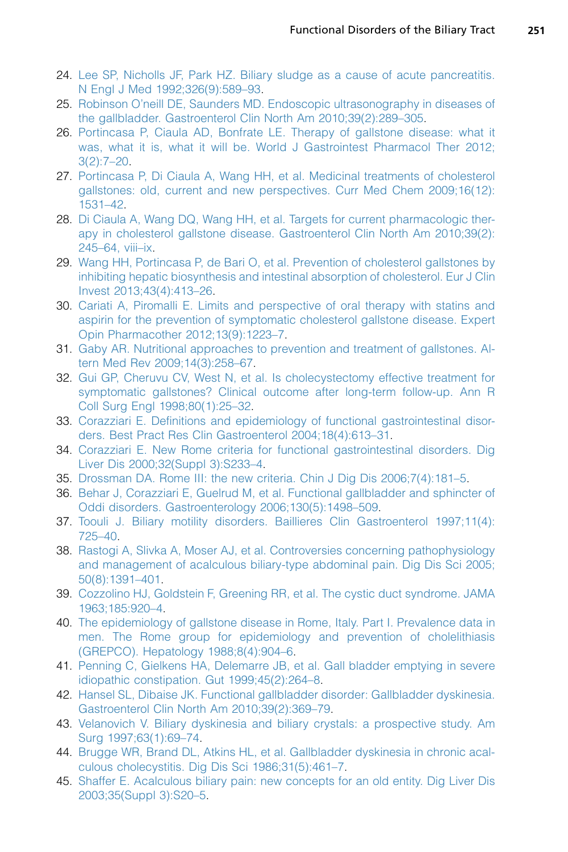- <span id="page-18-0"></span>24. [Lee SP, Nicholls JF, Park HZ. Biliary sludge as a cause of acute pancreatitis.](http://refhub.elsevier.com/S0039-6109(13)00210-7/sref23) [N Engl J Med 1992;326\(9\):589–93](http://refhub.elsevier.com/S0039-6109(13)00210-7/sref23).
- 25. [Robinson O'neill DE, Saunders MD. Endoscopic ultrasonography in diseases of](http://refhub.elsevier.com/S0039-6109(13)00210-7/sref24) [the gallbladder. Gastroenterol Clin North Am 2010;39\(2\):289–305](http://refhub.elsevier.com/S0039-6109(13)00210-7/sref24).
- 26. [Portincasa P, Ciaula AD, Bonfrate LE. Therapy of gallstone disease: what it](http://refhub.elsevier.com/S0039-6109(13)00210-7/sref25) [was, what it is, what it will be. World J Gastrointest Pharmacol Ther 2012;](http://refhub.elsevier.com/S0039-6109(13)00210-7/sref25) [3\(2\):7–20.](http://refhub.elsevier.com/S0039-6109(13)00210-7/sref25)
- 27. [Portincasa P, Di Ciaula A, Wang HH, et al. Medicinal treatments of cholesterol](http://refhub.elsevier.com/S0039-6109(13)00210-7/sref26) [gallstones: old, current and new perspectives. Curr Med Chem 2009;16\(12\):](http://refhub.elsevier.com/S0039-6109(13)00210-7/sref26) [1531–42.](http://refhub.elsevier.com/S0039-6109(13)00210-7/sref26)
- 28. [Di Ciaula A, Wang DQ, Wang HH, et al. Targets for current pharmacologic ther](http://refhub.elsevier.com/S0039-6109(13)00210-7/sref27)[apy in cholesterol gallstone disease. Gastroenterol Clin North Am 2010;39\(2\):](http://refhub.elsevier.com/S0039-6109(13)00210-7/sref27) [245–64, viii–ix.](http://refhub.elsevier.com/S0039-6109(13)00210-7/sref27)
- 29. [Wang HH, Portincasa P, de Bari O, et al. Prevention of cholesterol gallstones by](http://refhub.elsevier.com/S0039-6109(13)00210-7/sref28) [inhibiting hepatic biosynthesis and intestinal absorption of cholesterol. Eur J Clin](http://refhub.elsevier.com/S0039-6109(13)00210-7/sref28) [Invest 2013;43\(4\):413–26.](http://refhub.elsevier.com/S0039-6109(13)00210-7/sref28)
- 30. [Cariati A, Piromalli E. Limits and perspective of oral therapy with statins and](http://refhub.elsevier.com/S0039-6109(13)00210-7/sref29) [aspirin for the prevention of symptomatic cholesterol gallstone disease. Expert](http://refhub.elsevier.com/S0039-6109(13)00210-7/sref29) [Opin Pharmacother 2012;13\(9\):1223–7](http://refhub.elsevier.com/S0039-6109(13)00210-7/sref29).
- 31. [Gaby AR. Nutritional approaches to prevention and treatment of gallstones. Al](http://refhub.elsevier.com/S0039-6109(13)00210-7/sref30)[tern Med Rev 2009;14\(3\):258–67](http://refhub.elsevier.com/S0039-6109(13)00210-7/sref30).
- 32. [Gui GP, Cheruvu CV, West N, et al. Is cholecystectomy effective treatment for](http://refhub.elsevier.com/S0039-6109(13)00210-7/sref31) [symptomatic gallstones? Clinical outcome after long-term follow-up. Ann R](http://refhub.elsevier.com/S0039-6109(13)00210-7/sref31) [Coll Surg Engl 1998;80\(1\):25–32.](http://refhub.elsevier.com/S0039-6109(13)00210-7/sref31)
- 33. [Corazziari E. Definitions and epidemiology of functional gastrointestinal disor](http://refhub.elsevier.com/S0039-6109(13)00210-7/sref32)[ders. Best Pract Res Clin Gastroenterol 2004;18\(4\):613–31.](http://refhub.elsevier.com/S0039-6109(13)00210-7/sref32)
- 34. [Corazziari E. New Rome criteria for functional gastrointestinal disorders. Dig](http://refhub.elsevier.com/S0039-6109(13)00210-7/sref33) [Liver Dis 2000;32\(Suppl 3\):S233–4.](http://refhub.elsevier.com/S0039-6109(13)00210-7/sref33)
- 35. [Drossman DA. Rome III: the new criteria. Chin J Dig Dis 2006;7\(4\):181–5.](http://refhub.elsevier.com/S0039-6109(13)00210-7/sref34)
- 36. [Behar J, Corazziari E, Guelrud M, et al. Functional gallbladder and sphincter of](http://refhub.elsevier.com/S0039-6109(13)00210-7/sref35) [Oddi disorders. Gastroenterology 2006;130\(5\):1498–509.](http://refhub.elsevier.com/S0039-6109(13)00210-7/sref35)
- 37. [Toouli J. Biliary motility disorders. Baillieres Clin Gastroenterol 1997;11\(4\):](http://refhub.elsevier.com/S0039-6109(13)00210-7/sref36) [725–40.](http://refhub.elsevier.com/S0039-6109(13)00210-7/sref36)
- 38. [Rastogi A, Slivka A, Moser AJ, et al. Controversies concerning pathophysiology](http://refhub.elsevier.com/S0039-6109(13)00210-7/sref37) [and management of acalculous biliary-type abdominal pain. Dig Dis Sci 2005;](http://refhub.elsevier.com/S0039-6109(13)00210-7/sref37) [50\(8\):1391–401](http://refhub.elsevier.com/S0039-6109(13)00210-7/sref37).
- 39. [Cozzolino HJ, Goldstein F, Greening RR, et al. The cystic duct syndrome. JAMA](http://refhub.elsevier.com/S0039-6109(13)00210-7/sref38) [1963;185:920–4.](http://refhub.elsevier.com/S0039-6109(13)00210-7/sref38)
- 40. [The epidemiology of gallstone disease in Rome, Italy. Part I. Prevalence data in](http://refhub.elsevier.com/S0039-6109(13)00210-7/sref39) [men. The Rome group for epidemiology and prevention of cholelithiasis](http://refhub.elsevier.com/S0039-6109(13)00210-7/sref39) [\(GREPCO\). Hepatology 1988;8\(4\):904–6.](http://refhub.elsevier.com/S0039-6109(13)00210-7/sref39)
- 41. [Penning C, Gielkens HA, Delemarre JB, et al. Gall bladder emptying in severe](http://refhub.elsevier.com/S0039-6109(13)00210-7/sref40) [idiopathic constipation. Gut 1999;45\(2\):264–8](http://refhub.elsevier.com/S0039-6109(13)00210-7/sref40).
- 42. [Hansel SL, Dibaise JK. Functional gallbladder disorder: Gallbladder dyskinesia.](http://refhub.elsevier.com/S0039-6109(13)00210-7/sref41) [Gastroenterol Clin North Am 2010;39\(2\):369–79](http://refhub.elsevier.com/S0039-6109(13)00210-7/sref41).
- 43. [Velanovich V. Biliary dyskinesia and biliary crystals: a prospective study. Am](http://refhub.elsevier.com/S0039-6109(13)00210-7/sref42) [Surg 1997;63\(1\):69–74.](http://refhub.elsevier.com/S0039-6109(13)00210-7/sref42)
- 44. [Brugge WR, Brand DL, Atkins HL, et al. Gallbladder dyskinesia in chronic acal](http://refhub.elsevier.com/S0039-6109(13)00210-7/sref43)[culous cholecystitis. Dig Dis Sci 1986;31\(5\):461–7.](http://refhub.elsevier.com/S0039-6109(13)00210-7/sref43)
- 45. [Shaffer E. Acalculous biliary pain: new concepts for an old entity. Dig Liver Dis](http://refhub.elsevier.com/S0039-6109(13)00210-7/sref44) [2003;35\(Suppl 3\):S20–5.](http://refhub.elsevier.com/S0039-6109(13)00210-7/sref44)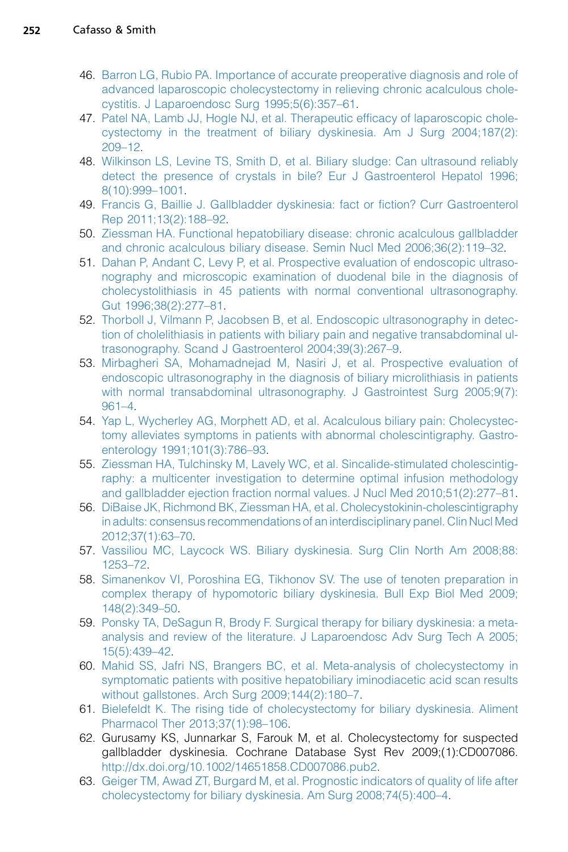- <span id="page-19-0"></span>46. [Barron LG, Rubio PA. Importance of accurate preoperative diagnosis and role of](http://refhub.elsevier.com/S0039-6109(13)00210-7/sref45) [advanced laparoscopic cholecystectomy in relieving chronic acalculous chole](http://refhub.elsevier.com/S0039-6109(13)00210-7/sref45)[cystitis. J Laparoendosc Surg 1995;5\(6\):357–61.](http://refhub.elsevier.com/S0039-6109(13)00210-7/sref45)
- 47. [Patel NA, Lamb JJ, Hogle NJ, et al. Therapeutic efficacy of laparoscopic chole](http://refhub.elsevier.com/S0039-6109(13)00210-7/sref46)[cystectomy in the treatment of biliary dyskinesia. Am J Surg 2004;187\(2\):](http://refhub.elsevier.com/S0039-6109(13)00210-7/sref46) [209–12.](http://refhub.elsevier.com/S0039-6109(13)00210-7/sref46)
- 48. [Wilkinson LS, Levine TS, Smith D, et al. Biliary sludge: Can ultrasound reliably](http://refhub.elsevier.com/S0039-6109(13)00210-7/sref47) [detect the presence of crystals in bile? Eur J Gastroenterol Hepatol 1996;](http://refhub.elsevier.com/S0039-6109(13)00210-7/sref47) [8\(10\):999–1001.](http://refhub.elsevier.com/S0039-6109(13)00210-7/sref47)
- 49. [Francis G, Baillie J. Gallbladder dyskinesia: fact or fiction? Curr Gastroenterol](http://refhub.elsevier.com/S0039-6109(13)00210-7/sref48) [Rep 2011;13\(2\):188–92.](http://refhub.elsevier.com/S0039-6109(13)00210-7/sref48)
- 50. [Ziessman HA. Functional hepatobiliary disease: chronic acalculous gallbladder](http://refhub.elsevier.com/S0039-6109(13)00210-7/sref49) [and chronic acalculous biliary disease. Semin Nucl Med 2006;36\(2\):119–32.](http://refhub.elsevier.com/S0039-6109(13)00210-7/sref49)
- 51. [Dahan P, Andant C, Levy P, et al. Prospective evaluation of endoscopic ultraso](http://refhub.elsevier.com/S0039-6109(13)00210-7/sref50)[nography and microscopic examination of duodenal bile in the diagnosis of](http://refhub.elsevier.com/S0039-6109(13)00210-7/sref50) [cholecystolithiasis in 45 patients with normal conventional ultrasonography.](http://refhub.elsevier.com/S0039-6109(13)00210-7/sref50) [Gut 1996;38\(2\):277–81.](http://refhub.elsevier.com/S0039-6109(13)00210-7/sref50)
- 52. [Thorboll J, Vilmann P, Jacobsen B, et al. Endoscopic ultrasonography in detec](http://refhub.elsevier.com/S0039-6109(13)00210-7/sref51)[tion of cholelithiasis in patients with biliary pain and negative transabdominal ul](http://refhub.elsevier.com/S0039-6109(13)00210-7/sref51)[trasonography. Scand J Gastroenterol 2004;39\(3\):267–9](http://refhub.elsevier.com/S0039-6109(13)00210-7/sref51).
- 53. [Mirbagheri SA, Mohamadnejad M, Nasiri J, et al. Prospective evaluation of](http://refhub.elsevier.com/S0039-6109(13)00210-7/sref52) [endoscopic ultrasonography in the diagnosis of biliary microlithiasis in patients](http://refhub.elsevier.com/S0039-6109(13)00210-7/sref52) [with normal transabdominal ultrasonography. J Gastrointest Surg 2005;9\(7\):](http://refhub.elsevier.com/S0039-6109(13)00210-7/sref52) [961–4.](http://refhub.elsevier.com/S0039-6109(13)00210-7/sref52)
- 54. [Yap L, Wycherley AG, Morphett AD, et al. Acalculous biliary pain: Cholecystec](http://refhub.elsevier.com/S0039-6109(13)00210-7/sref53)[tomy alleviates symptoms in patients with abnormal cholescintigraphy. Gastro](http://refhub.elsevier.com/S0039-6109(13)00210-7/sref53)[enterology 1991;101\(3\):786–93](http://refhub.elsevier.com/S0039-6109(13)00210-7/sref53).
- 55. [Ziessman HA, Tulchinsky M, Lavely WC, et al. Sincalide-stimulated cholescintig](http://refhub.elsevier.com/S0039-6109(13)00210-7/sref54)[raphy: a multicenter investigation to determine optimal infusion methodology](http://refhub.elsevier.com/S0039-6109(13)00210-7/sref54) [and gallbladder ejection fraction normal values. J Nucl Med 2010;51\(2\):277–81.](http://refhub.elsevier.com/S0039-6109(13)00210-7/sref54)
- 56. [DiBaise JK, Richmond BK, Ziessman HA, et al. Cholecystokinin-cholescintigraphy](http://refhub.elsevier.com/S0039-6109(13)00210-7/sref55) [in adults: consensus recommendations of an interdisciplinary panel. Clin Nucl Med](http://refhub.elsevier.com/S0039-6109(13)00210-7/sref55) [2012;37\(1\):63–70](http://refhub.elsevier.com/S0039-6109(13)00210-7/sref55).
- 57. [Vassiliou MC, Laycock WS. Biliary dyskinesia. Surg Clin North Am 2008;88:](http://refhub.elsevier.com/S0039-6109(13)00210-7/sref56) [1253–72](http://refhub.elsevier.com/S0039-6109(13)00210-7/sref56).
- 58. [Simanenkov VI, Poroshina EG, Tikhonov SV. The use of tenoten preparation in](http://refhub.elsevier.com/S0039-6109(13)00210-7/sref57) [complex therapy of hypomotoric biliary dyskinesia. Bull Exp Biol Med 2009;](http://refhub.elsevier.com/S0039-6109(13)00210-7/sref57) [148\(2\):349–50.](http://refhub.elsevier.com/S0039-6109(13)00210-7/sref57)
- 59. [Ponsky TA, DeSagun R, Brody F. Surgical therapy for biliary dyskinesia: a meta](http://refhub.elsevier.com/S0039-6109(13)00210-7/sref58)[analysis and review of the literature. J Laparoendosc Adv Surg Tech A 2005;](http://refhub.elsevier.com/S0039-6109(13)00210-7/sref58) [15\(5\):439–42.](http://refhub.elsevier.com/S0039-6109(13)00210-7/sref58)
- 60. [Mahid SS, Jafri NS, Brangers BC, et al. Meta-analysis of cholecystectomy in](http://refhub.elsevier.com/S0039-6109(13)00210-7/sref59) [symptomatic patients with positive hepatobiliary iminodiacetic acid scan results](http://refhub.elsevier.com/S0039-6109(13)00210-7/sref59) [without gallstones. Arch Surg 2009;144\(2\):180–7](http://refhub.elsevier.com/S0039-6109(13)00210-7/sref59).
- 61. [Bielefeldt K. The rising tide of cholecystectomy for biliary dyskinesia. Aliment](http://refhub.elsevier.com/S0039-6109(13)00210-7/sref60) [Pharmacol Ther 2013;37\(1\):98–106.](http://refhub.elsevier.com/S0039-6109(13)00210-7/sref60)
- 62. Gurusamy KS, Junnarkar S, Farouk M, et al. Cholecystectomy for suspected gallbladder dyskinesia. Cochrane Database Syst Rev 2009;(1):CD007086. [http://dx.doi.org/10.1002/14651858.CD007086.pub2.](http://dx.doi.org/10.1002/14651858.CD007086.pub2)
- 63. [Geiger TM, Awad ZT, Burgard M, et al. Prognostic indicators of quality of life after](http://refhub.elsevier.com/S0039-6109(13)00210-7/sref62) [cholecystectomy for biliary dyskinesia. Am Surg 2008;74\(5\):400–4.](http://refhub.elsevier.com/S0039-6109(13)00210-7/sref62)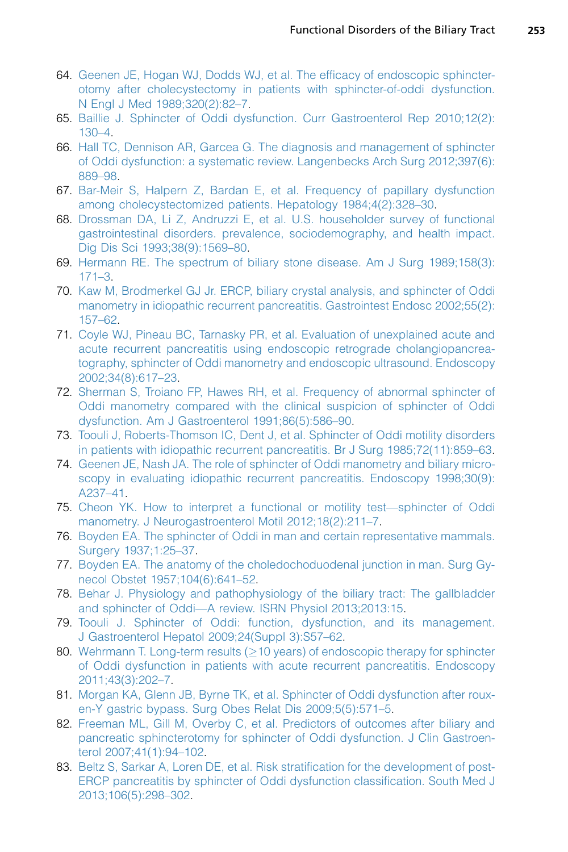- <span id="page-20-0"></span>64. [Geenen JE, Hogan WJ, Dodds WJ, et al. The efficacy of endoscopic sphincter](http://refhub.elsevier.com/S0039-6109(13)00210-7/sref63)[otomy after cholecystectomy in patients with sphincter-of-oddi dysfunction.](http://refhub.elsevier.com/S0039-6109(13)00210-7/sref63) [N Engl J Med 1989;320\(2\):82–7](http://refhub.elsevier.com/S0039-6109(13)00210-7/sref63).
- 65. [Baillie J. Sphincter of Oddi dysfunction. Curr Gastroenterol Rep 2010;12\(2\):](http://refhub.elsevier.com/S0039-6109(13)00210-7/sref64) [130–4](http://refhub.elsevier.com/S0039-6109(13)00210-7/sref64).
- 66. [Hall TC, Dennison AR, Garcea G. The diagnosis and management of sphincter](http://refhub.elsevier.com/S0039-6109(13)00210-7/sref65) [of Oddi dysfunction: a systematic review. Langenbecks Arch Surg 2012;397\(6\):](http://refhub.elsevier.com/S0039-6109(13)00210-7/sref65) [889–98.](http://refhub.elsevier.com/S0039-6109(13)00210-7/sref65)
- 67. [Bar-Meir S, Halpern Z, Bardan E, et al. Frequency of papillary dysfunction](http://refhub.elsevier.com/S0039-6109(13)00210-7/sref66) [among cholecystectomized patients. Hepatology 1984;4\(2\):328–30.](http://refhub.elsevier.com/S0039-6109(13)00210-7/sref66)
- 68. [Drossman DA, Li Z, Andruzzi E, et al. U.S. householder survey of functional](http://refhub.elsevier.com/S0039-6109(13)00210-7/sref67) [gastrointestinal disorders. prevalence, sociodemography, and health impact.](http://refhub.elsevier.com/S0039-6109(13)00210-7/sref67) [Dig Dis Sci 1993;38\(9\):1569–80.](http://refhub.elsevier.com/S0039-6109(13)00210-7/sref67)
- 69. [Hermann RE. The spectrum of biliary stone disease. Am J Surg 1989;158\(3\):](http://refhub.elsevier.com/S0039-6109(13)00210-7/sref68) [171–3](http://refhub.elsevier.com/S0039-6109(13)00210-7/sref68).
- 70. [Kaw M, Brodmerkel GJ Jr. ERCP, biliary crystal analysis, and sphincter of Oddi](http://refhub.elsevier.com/S0039-6109(13)00210-7/sref69) [manometry in idiopathic recurrent pancreatitis. Gastrointest Endosc 2002;55\(2\):](http://refhub.elsevier.com/S0039-6109(13)00210-7/sref69) [157–62.](http://refhub.elsevier.com/S0039-6109(13)00210-7/sref69)
- 71. [Coyle WJ, Pineau BC, Tarnasky PR, et al. Evaluation of unexplained acute and](http://refhub.elsevier.com/S0039-6109(13)00210-7/sref70) [acute recurrent pancreatitis using endoscopic retrograde cholangiopancrea](http://refhub.elsevier.com/S0039-6109(13)00210-7/sref70)[tography, sphincter of Oddi manometry and endoscopic ultrasound. Endoscopy](http://refhub.elsevier.com/S0039-6109(13)00210-7/sref70) [2002;34\(8\):617–23.](http://refhub.elsevier.com/S0039-6109(13)00210-7/sref70)
- 72. [Sherman S, Troiano FP, Hawes RH, et al. Frequency of abnormal sphincter of](http://refhub.elsevier.com/S0039-6109(13)00210-7/sref71) [Oddi manometry compared with the clinical suspicion of sphincter of Oddi](http://refhub.elsevier.com/S0039-6109(13)00210-7/sref71) [dysfunction. Am J Gastroenterol 1991;86\(5\):586–90](http://refhub.elsevier.com/S0039-6109(13)00210-7/sref71).
- 73. [Toouli J, Roberts-Thomson IC, Dent J, et al. Sphincter of Oddi motility disorders](http://refhub.elsevier.com/S0039-6109(13)00210-7/sref72) [in patients with idiopathic recurrent pancreatitis. Br J Surg 1985;72\(11\):859–63](http://refhub.elsevier.com/S0039-6109(13)00210-7/sref72).
- 74. [Geenen JE, Nash JA. The role of sphincter of Oddi manometry and biliary micro](http://refhub.elsevier.com/S0039-6109(13)00210-7/sref73)[scopy in evaluating idiopathic recurrent pancreatitis. Endoscopy 1998;30\(9\):](http://refhub.elsevier.com/S0039-6109(13)00210-7/sref73) [A237–41.](http://refhub.elsevier.com/S0039-6109(13)00210-7/sref73)
- 75. [Cheon YK. How to interpret a functional or motility test—sphincter of Oddi](http://refhub.elsevier.com/S0039-6109(13)00210-7/sref74) manometry. J Neurogastroenterol Motil 2012;18(2):211-7.
- 76. [Boyden EA. The sphincter of Oddi in man and certain representative mammals.](http://refhub.elsevier.com/S0039-6109(13)00210-7/sref75) [Surgery 1937;1:25–37](http://refhub.elsevier.com/S0039-6109(13)00210-7/sref75).
- 77. [Boyden EA. The anatomy of the choledochoduodenal junction in man. Surg Gy](http://refhub.elsevier.com/S0039-6109(13)00210-7/sref76)[necol Obstet 1957;104\(6\):641–52](http://refhub.elsevier.com/S0039-6109(13)00210-7/sref76).
- 78. [Behar J. Physiology and pathophysiology of the biliary tract: The gallbladder](http://refhub.elsevier.com/S0039-6109(13)00210-7/sref77) [and sphincter of Oddi—A review. ISRN Physiol 2013;2013:15.](http://refhub.elsevier.com/S0039-6109(13)00210-7/sref77)
- 79. [Toouli J. Sphincter of Oddi: function, dysfunction, and its management.](http://refhub.elsevier.com/S0039-6109(13)00210-7/sref78) [J Gastroenterol Hepatol 2009;24\(Suppl 3\):S57–62](http://refhub.elsevier.com/S0039-6109(13)00210-7/sref78).
- 80. [Wehrmann T. Long-term results \(](http://refhub.elsevier.com/S0039-6109(13)00210-7/sref79)>[10 years\) of endoscopic therapy for sphincter](http://refhub.elsevier.com/S0039-6109(13)00210-7/sref79) [of Oddi dysfunction in patients with acute recurrent pancreatitis. Endoscopy](http://refhub.elsevier.com/S0039-6109(13)00210-7/sref79) [2011;43\(3\):202–7.](http://refhub.elsevier.com/S0039-6109(13)00210-7/sref79)
- 81. [Morgan KA, Glenn JB, Byrne TK, et al. Sphincter of Oddi dysfunction after roux](http://refhub.elsevier.com/S0039-6109(13)00210-7/sref80)[en-Y gastric bypass. Surg Obes Relat Dis 2009;5\(5\):571–5](http://refhub.elsevier.com/S0039-6109(13)00210-7/sref80).
- 82. [Freeman ML, Gill M, Overby C, et al. Predictors of outcomes after biliary and](http://refhub.elsevier.com/S0039-6109(13)00210-7/sref81) [pancreatic sphincterotomy for sphincter of Oddi dysfunction. J Clin Gastroen](http://refhub.elsevier.com/S0039-6109(13)00210-7/sref81)[terol 2007;41\(1\):94–102.](http://refhub.elsevier.com/S0039-6109(13)00210-7/sref81)
- 83. [Beltz S, Sarkar A, Loren DE, et al. Risk stratification for the development of post-](http://refhub.elsevier.com/S0039-6109(13)00210-7/sref82)[ERCP pancreatitis by sphincter of Oddi dysfunction classification. South Med J](http://refhub.elsevier.com/S0039-6109(13)00210-7/sref82) [2013;106\(5\):298–302.](http://refhub.elsevier.com/S0039-6109(13)00210-7/sref82)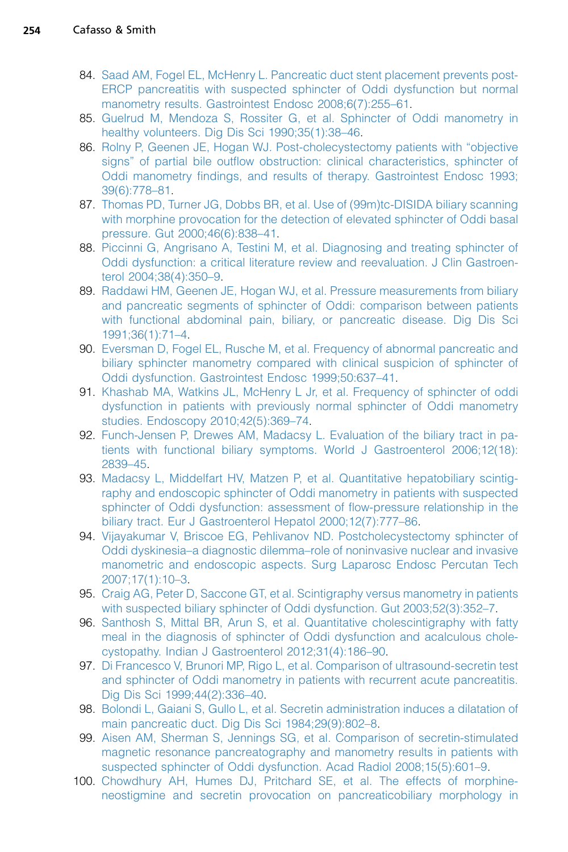- <span id="page-21-0"></span>84. [Saad AM, Fogel EL, McHenry L. Pancreatic duct stent placement prevents post-](http://refhub.elsevier.com/S0039-6109(13)00210-7/sref83)[ERCP pancreatitis with suspected sphincter of Oddi dysfunction but normal](http://refhub.elsevier.com/S0039-6109(13)00210-7/sref83) [manometry results. Gastrointest Endosc 2008;6\(7\):255–61](http://refhub.elsevier.com/S0039-6109(13)00210-7/sref83).
- 85. [Guelrud M, Mendoza S, Rossiter G, et al. Sphincter of Oddi manometry in](http://refhub.elsevier.com/S0039-6109(13)00210-7/sref84) [healthy volunteers. Dig Dis Sci 1990;35\(1\):38–46.](http://refhub.elsevier.com/S0039-6109(13)00210-7/sref84)
- 86. [Rolny P, Geenen JE, Hogan WJ. Post-cholecystectomy patients with "objective](http://refhub.elsevier.com/S0039-6109(13)00210-7/sref85) [signs" of partial bile outflow obstruction: clinical characteristics, sphincter of](http://refhub.elsevier.com/S0039-6109(13)00210-7/sref85) [Oddi manometry findings, and results of therapy. Gastrointest Endosc 1993;](http://refhub.elsevier.com/S0039-6109(13)00210-7/sref85) [39\(6\):778–81.](http://refhub.elsevier.com/S0039-6109(13)00210-7/sref85)
- 87. [Thomas PD, Turner JG, Dobbs BR, et al. Use of \(99m\)tc-DISIDA biliary scanning](http://refhub.elsevier.com/S0039-6109(13)00210-7/sref86) [with morphine provocation for the detection of elevated sphincter of Oddi basal](http://refhub.elsevier.com/S0039-6109(13)00210-7/sref86) [pressure. Gut 2000;46\(6\):838–41](http://refhub.elsevier.com/S0039-6109(13)00210-7/sref86).
- 88. [Piccinni G, Angrisano A, Testini M, et al. Diagnosing and treating sphincter of](http://refhub.elsevier.com/S0039-6109(13)00210-7/sref87) [Oddi dysfunction: a critical literature review and reevaluation. J Clin Gastroen](http://refhub.elsevier.com/S0039-6109(13)00210-7/sref87)[terol 2004;38\(4\):350–9.](http://refhub.elsevier.com/S0039-6109(13)00210-7/sref87)
- 89. [Raddawi HM, Geenen JE, Hogan WJ, et al. Pressure measurements from biliary](http://refhub.elsevier.com/S0039-6109(13)00210-7/sref88) [and pancreatic segments of sphincter of Oddi: comparison between patients](http://refhub.elsevier.com/S0039-6109(13)00210-7/sref88) [with functional abdominal pain, biliary, or pancreatic disease. Dig Dis Sci](http://refhub.elsevier.com/S0039-6109(13)00210-7/sref88) [1991;36\(1\):71–4](http://refhub.elsevier.com/S0039-6109(13)00210-7/sref88).
- 90. [Eversman D, Fogel EL, Rusche M, et al. Frequency of abnormal pancreatic and](http://refhub.elsevier.com/S0039-6109(13)00210-7/sref89) [biliary sphincter manometry compared with clinical suspicion of sphincter of](http://refhub.elsevier.com/S0039-6109(13)00210-7/sref89) [Oddi dysfunction. Gastrointest Endosc 1999;50:637–41](http://refhub.elsevier.com/S0039-6109(13)00210-7/sref89).
- 91. [Khashab MA, Watkins JL, McHenry L Jr, et al. Frequency of sphincter of oddi](http://refhub.elsevier.com/S0039-6109(13)00210-7/sref90) [dysfunction in patients with previously normal sphincter of Oddi manometry](http://refhub.elsevier.com/S0039-6109(13)00210-7/sref90) [studies. Endoscopy 2010;42\(5\):369–74.](http://refhub.elsevier.com/S0039-6109(13)00210-7/sref90)
- 92. [Funch-Jensen P, Drewes AM, Madacsy L. Evaluation of the biliary tract in pa](http://refhub.elsevier.com/S0039-6109(13)00210-7/sref91)[tients with functional biliary symptoms. World J Gastroenterol 2006;12\(18\):](http://refhub.elsevier.com/S0039-6109(13)00210-7/sref91) [2839–45](http://refhub.elsevier.com/S0039-6109(13)00210-7/sref91).
- 93. [Madacsy L, Middelfart HV, Matzen P, et al. Quantitative hepatobiliary scintig](http://refhub.elsevier.com/S0039-6109(13)00210-7/sref92)[raphy and endoscopic sphincter of Oddi manometry in patients with suspected](http://refhub.elsevier.com/S0039-6109(13)00210-7/sref92) [sphincter of Oddi dysfunction: assessment of flow-pressure relationship in the](http://refhub.elsevier.com/S0039-6109(13)00210-7/sref92) [biliary tract. Eur J Gastroenterol Hepatol 2000;12\(7\):777–86.](http://refhub.elsevier.com/S0039-6109(13)00210-7/sref92)
- 94. [Vijayakumar V, Briscoe EG, Pehlivanov ND. Postcholecystectomy sphincter of](http://refhub.elsevier.com/S0039-6109(13)00210-7/sref93) [Oddi dyskinesia–a diagnostic dilemma–role of noninvasive nuclear and invasive](http://refhub.elsevier.com/S0039-6109(13)00210-7/sref93) [manometric and endoscopic aspects. Surg Laparosc Endosc Percutan Tech](http://refhub.elsevier.com/S0039-6109(13)00210-7/sref93) [2007;17\(1\):10–3](http://refhub.elsevier.com/S0039-6109(13)00210-7/sref93).
- 95. [Craig AG, Peter D, Saccone GT, et al. Scintigraphy versus manometry in patients](http://refhub.elsevier.com/S0039-6109(13)00210-7/sref94) [with suspected biliary sphincter of Oddi dysfunction. Gut 2003;52\(3\):352–7.](http://refhub.elsevier.com/S0039-6109(13)00210-7/sref94)
- 96. [Santhosh S, Mittal BR, Arun S, et al. Quantitative cholescintigraphy with fatty](http://refhub.elsevier.com/S0039-6109(13)00210-7/sref95) [meal in the diagnosis of sphincter of Oddi dysfunction and acalculous chole](http://refhub.elsevier.com/S0039-6109(13)00210-7/sref95)[cystopathy. Indian J Gastroenterol 2012;31\(4\):186–90](http://refhub.elsevier.com/S0039-6109(13)00210-7/sref95).
- 97. [Di Francesco V, Brunori MP, Rigo L, et al. Comparison of ultrasound-secretin test](http://refhub.elsevier.com/S0039-6109(13)00210-7/sref96) [and sphincter of Oddi manometry in patients with recurrent acute pancreatitis.](http://refhub.elsevier.com/S0039-6109(13)00210-7/sref96) [Dig Dis Sci 1999;44\(2\):336–40](http://refhub.elsevier.com/S0039-6109(13)00210-7/sref96).
- 98. [Bolondi L, Gaiani S, Gullo L, et al. Secretin administration induces a dilatation of](http://refhub.elsevier.com/S0039-6109(13)00210-7/sref97) [main pancreatic duct. Dig Dis Sci 1984;29\(9\):802–8.](http://refhub.elsevier.com/S0039-6109(13)00210-7/sref97)
- 99. [Aisen AM, Sherman S, Jennings SG, et al. Comparison of secretin-stimulated](http://refhub.elsevier.com/S0039-6109(13)00210-7/sref98) [magnetic resonance pancreatography and manometry results in patients with](http://refhub.elsevier.com/S0039-6109(13)00210-7/sref98) [suspected sphincter of Oddi dysfunction. Acad Radiol 2008;15\(5\):601–9.](http://refhub.elsevier.com/S0039-6109(13)00210-7/sref98)
- 100. [Chowdhury AH, Humes DJ, Pritchard SE, et al. The effects of morphine](http://refhub.elsevier.com/S0039-6109(13)00210-7/sref99)[neostigmine and secretin provocation on pancreaticobiliary morphology in](http://refhub.elsevier.com/S0039-6109(13)00210-7/sref99)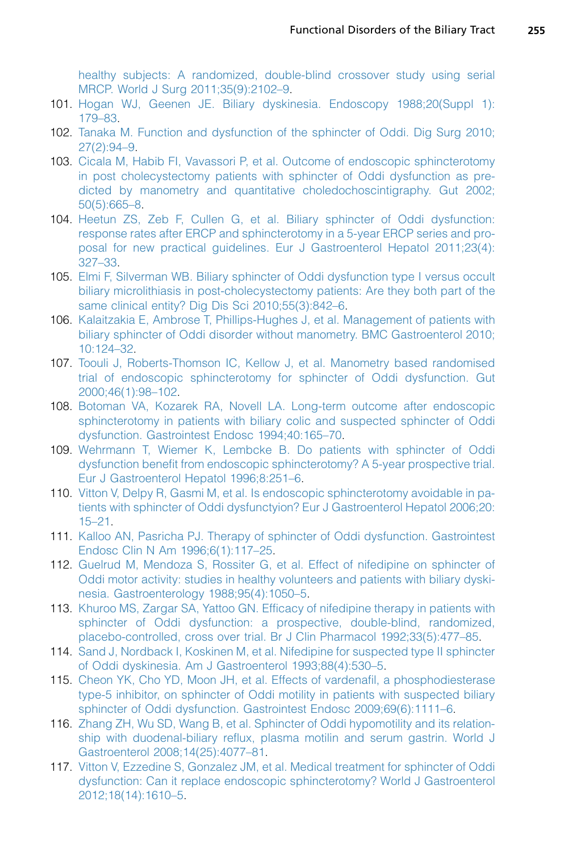<span id="page-22-0"></span>[healthy subjects: A randomized, double-blind crossover study using serial](http://refhub.elsevier.com/S0039-6109(13)00210-7/sref99) [MRCP. World J Surg 2011;35\(9\):2102–9](http://refhub.elsevier.com/S0039-6109(13)00210-7/sref99).

- 101. [Hogan WJ, Geenen JE. Biliary dyskinesia. Endoscopy 1988;20\(Suppl 1\):](http://refhub.elsevier.com/S0039-6109(13)00210-7/sref100) [179–83.](http://refhub.elsevier.com/S0039-6109(13)00210-7/sref100)
- 102. [Tanaka M. Function and dysfunction of the sphincter of Oddi. Dig Surg 2010;](http://refhub.elsevier.com/S0039-6109(13)00210-7/sref101) [27\(2\):94–9](http://refhub.elsevier.com/S0039-6109(13)00210-7/sref101).
- 103. [Cicala M, Habib FI, Vavassori P, et al. Outcome of endoscopic sphincterotomy](http://refhub.elsevier.com/S0039-6109(13)00210-7/sref102) [in post cholecystectomy patients with sphincter of Oddi dysfunction as pre](http://refhub.elsevier.com/S0039-6109(13)00210-7/sref102)[dicted by manometry and quantitative choledochoscintigraphy. Gut 2002;](http://refhub.elsevier.com/S0039-6109(13)00210-7/sref102) [50\(5\):665–8](http://refhub.elsevier.com/S0039-6109(13)00210-7/sref102).
- 104. [Heetun ZS, Zeb F, Cullen G, et al. Biliary sphincter of Oddi dysfunction:](http://refhub.elsevier.com/S0039-6109(13)00210-7/sref103) [response rates after ERCP and sphincterotomy in a 5-year ERCP series and pro](http://refhub.elsevier.com/S0039-6109(13)00210-7/sref103)[posal for new practical guidelines. Eur J Gastroenterol Hepatol 2011;23\(4\):](http://refhub.elsevier.com/S0039-6109(13)00210-7/sref103) [327–33.](http://refhub.elsevier.com/S0039-6109(13)00210-7/sref103)
- 105. [Elmi F, Silverman WB. Biliary sphincter of Oddi dysfunction type I versus occult](http://refhub.elsevier.com/S0039-6109(13)00210-7/sref104) [biliary microlithiasis in post-cholecystectomy patients: Are they both part of the](http://refhub.elsevier.com/S0039-6109(13)00210-7/sref104) [same clinical entity? Dig Dis Sci 2010;55\(3\):842–6](http://refhub.elsevier.com/S0039-6109(13)00210-7/sref104).
- 106. [Kalaitzakia E, Ambrose T, Phillips-Hughes J, et al. Management of patients with](http://refhub.elsevier.com/S0039-6109(13)00210-7/sref105) [biliary sphincter of Oddi disorder without manometry. BMC Gastroenterol 2010;](http://refhub.elsevier.com/S0039-6109(13)00210-7/sref105) [10:124–32](http://refhub.elsevier.com/S0039-6109(13)00210-7/sref105).
- 107. [Toouli J, Roberts-Thomson IC, Kellow J, et al. Manometry based randomised](http://refhub.elsevier.com/S0039-6109(13)00210-7/sref106) [trial of endoscopic sphincterotomy for sphincter of Oddi dysfunction. Gut](http://refhub.elsevier.com/S0039-6109(13)00210-7/sref106) [2000;46\(1\):98–102.](http://refhub.elsevier.com/S0039-6109(13)00210-7/sref106)
- 108. [Botoman VA, Kozarek RA, Novell LA. Long-term outcome after endoscopic](http://refhub.elsevier.com/S0039-6109(13)00210-7/sref107) [sphincterotomy in patients with biliary colic and suspected sphincter of Oddi](http://refhub.elsevier.com/S0039-6109(13)00210-7/sref107) [dysfunction. Gastrointest Endosc 1994;40:165–70.](http://refhub.elsevier.com/S0039-6109(13)00210-7/sref107)
- 109. [Wehrmann T, Wiemer K, Lembcke B. Do patients with sphincter of Oddi](http://refhub.elsevier.com/S0039-6109(13)00210-7/sref108) [dysfunction benefit from endoscopic sphincterotomy? A 5-year prospective trial.](http://refhub.elsevier.com/S0039-6109(13)00210-7/sref108) [Eur J Gastroenterol Hepatol 1996;8:251–6.](http://refhub.elsevier.com/S0039-6109(13)00210-7/sref108)
- 110. [Vitton V, Delpy R, Gasmi M, et al. Is endoscopic sphincterotomy avoidable in pa](http://refhub.elsevier.com/S0039-6109(13)00210-7/sref109)[tients with sphincter of Oddi dysfunctyion? Eur J Gastroenterol Hepatol 2006;20:](http://refhub.elsevier.com/S0039-6109(13)00210-7/sref109) [15–21.](http://refhub.elsevier.com/S0039-6109(13)00210-7/sref109)
- 111. [Kalloo AN, Pasricha PJ. Therapy of sphincter of Oddi dysfunction. Gastrointest](http://refhub.elsevier.com/S0039-6109(13)00210-7/sref110) [Endosc Clin N Am 1996;6\(1\):117–25](http://refhub.elsevier.com/S0039-6109(13)00210-7/sref110).
- 112. [Guelrud M, Mendoza S, Rossiter G, et al. Effect of nifedipine on sphincter of](http://refhub.elsevier.com/S0039-6109(13)00210-7/sref111) [Oddi motor activity: studies in healthy volunteers and patients with biliary dyski](http://refhub.elsevier.com/S0039-6109(13)00210-7/sref111)[nesia. Gastroenterology 1988;95\(4\):1050–5](http://refhub.elsevier.com/S0039-6109(13)00210-7/sref111).
- 113. [Khuroo MS, Zargar SA, Yattoo GN. Efficacy of nifedipine therapy in patients with](http://refhub.elsevier.com/S0039-6109(13)00210-7/sref112) [sphincter of Oddi dysfunction: a prospective, double-blind, randomized,](http://refhub.elsevier.com/S0039-6109(13)00210-7/sref112) [placebo-controlled, cross over trial. Br J Clin Pharmacol 1992;33\(5\):477–85](http://refhub.elsevier.com/S0039-6109(13)00210-7/sref112).
- 114. [Sand J, Nordback I, Koskinen M, et al. Nifedipine for suspected type II sphincter](http://refhub.elsevier.com/S0039-6109(13)00210-7/sref113) [of Oddi dyskinesia. Am J Gastroenterol 1993;88\(4\):530–5.](http://refhub.elsevier.com/S0039-6109(13)00210-7/sref113)
- 115. [Cheon YK, Cho YD, Moon JH, et al. Effects of vardenafil, a phosphodiesterase](http://refhub.elsevier.com/S0039-6109(13)00210-7/sref114) [type-5 inhibitor, on sphincter of Oddi motility in patients with suspected biliary](http://refhub.elsevier.com/S0039-6109(13)00210-7/sref114) [sphincter of Oddi dysfunction. Gastrointest Endosc 2009;69\(6\):1111–6](http://refhub.elsevier.com/S0039-6109(13)00210-7/sref114).
- 116. [Zhang ZH, Wu SD, Wang B, et al. Sphincter of Oddi hypomotility and its relation](http://refhub.elsevier.com/S0039-6109(13)00210-7/sref115)[ship with duodenal-biliary reflux, plasma motilin and serum gastrin. World J](http://refhub.elsevier.com/S0039-6109(13)00210-7/sref115) [Gastroenterol 2008;14\(25\):4077–81](http://refhub.elsevier.com/S0039-6109(13)00210-7/sref115).
- 117. [Vitton V, Ezzedine S, Gonzalez JM, et al. Medical treatment for sphincter of Oddi](http://refhub.elsevier.com/S0039-6109(13)00210-7/sref116) [dysfunction: Can it replace endoscopic sphincterotomy? World J Gastroenterol](http://refhub.elsevier.com/S0039-6109(13)00210-7/sref116) [2012;18\(14\):1610–5.](http://refhub.elsevier.com/S0039-6109(13)00210-7/sref116)